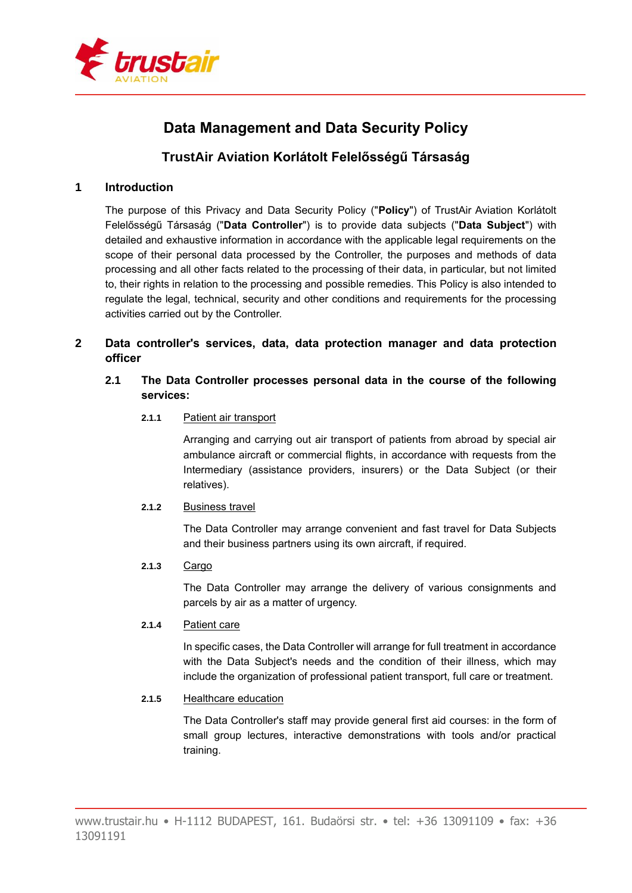

# **Data Management and Data Security Policy**

# **TrustAir Aviation Korlátolt Felelősségű Társaság**

# **1 Introduction**

The purpose of this Privacy and Data Security Policy ("**Policy**") of TrustAir Aviation Korlátolt Felelősségű Társaság ("**Data Controller**") is to provide data subjects ("**Data Subject**") with detailed and exhaustive information in accordance with the applicable legal requirements on the scope of their personal data processed by the Controller, the purposes and methods of data processing and all other facts related to the processing of their data, in particular, but not limited to, their rights in relation to the processing and possible remedies. This Policy is also intended to regulate the legal, technical, security and other conditions and requirements for the processing activities carried out by the Controller.

# **2 Data controller's services, data, data protection manager and data protection officer**

# **2.1 The Data Controller processes personal data in the course of the following services:**

#### **2.1.1** Patient air transport

Arranging and carrying out air transport of patients from abroad by special air ambulance aircraft or commercial flights, in accordance with requests from the Intermediary (assistance providers, insurers) or the Data Subject (or their relatives).

#### **2.1.2** Business travel

The Data Controller may arrange convenient and fast travel for Data Subjects and their business partners using its own aircraft, if required.

#### **2.1.3** Cargo

The Data Controller may arrange the delivery of various consignments and parcels by air as a matter of urgency.

#### **2.1.4** Patient care

In specific cases, the Data Controller will arrange for full treatment in accordance with the Data Subject's needs and the condition of their illness, which may include the organization of professional patient transport, full care or treatment.

#### **2.1.5** Healthcare education

The Data Controller's staff may provide general first aid courses: in the form of small group lectures, interactive demonstrations with tools and/or practical training.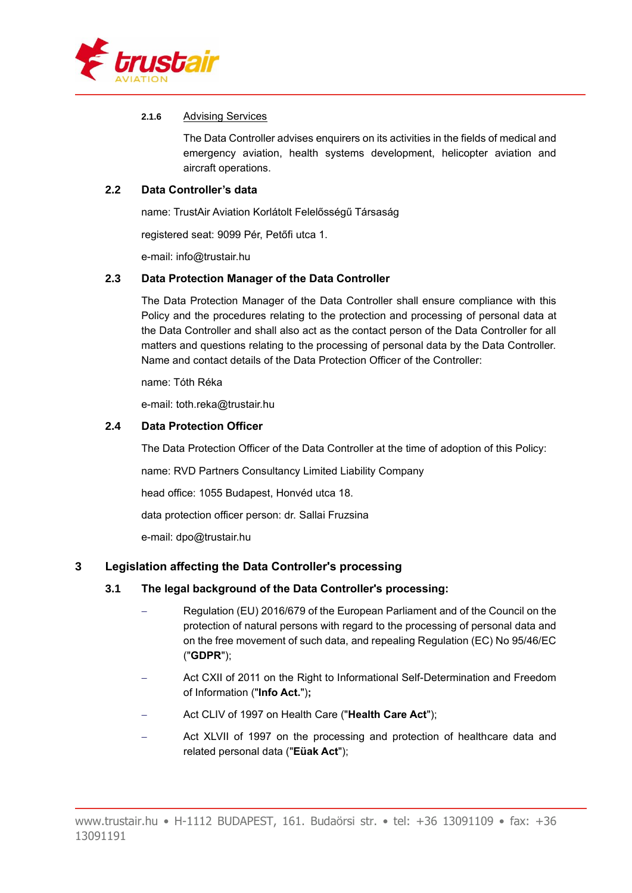

#### **2.1.6** Advising Services

The Data Controller advises enquirers on its activities in the fields of medical and emergency aviation, health systems development, helicopter aviation and aircraft operations.

#### **2.2 Data Controller's data**

name: TrustAir Aviation Korlátolt Felelősségű Társaság

registered seat: 9099 Pér, Petőfi utca 1.

e-mail: info@trustair.hu

#### **2.3 Data Protection Manager of the Data Controller**

The Data Protection Manager of the Data Controller shall ensure compliance with this Policy and the procedures relating to the protection and processing of personal data at the Data Controller and shall also act as the contact person of the Data Controller for all matters and questions relating to the processing of personal data by the Data Controller. Name and contact details of the Data Protection Officer of the Controller:

name: Tóth Réka

e-mail: toth.reka@trustair.hu

#### **2.4 Data Protection Officer**

The Data Protection Officer of the Data Controller at the time of adoption of this Policy:

name: RVD Partners Consultancy Limited Liability Company

head office: 1055 Budapest, Honvéd utca 18.

data protection officer person: dr. Sallai Fruzsina

e-mail: dpo@trustair.hu

## **3 Legislation affecting the Data Controller's processing**

#### **3.1 The legal background of the Data Controller's processing:**

- − Regulation (EU) 2016/679 of the European Parliament and of the Council on the protection of natural persons with regard to the processing of personal data and on the free movement of such data, and repealing Regulation (EC) No 95/46/EC ("**GDPR**");
- Act CXII of 2011 on the Right to Informational Self-Determination and Freedom of Information ("**Info Act.**")**;**
- − Act CLIV of 1997 on Health Care ("**Health Care Act**");
- Act XLVII of 1997 on the processing and protection of healthcare data and related personal data ("**Eüak Act**");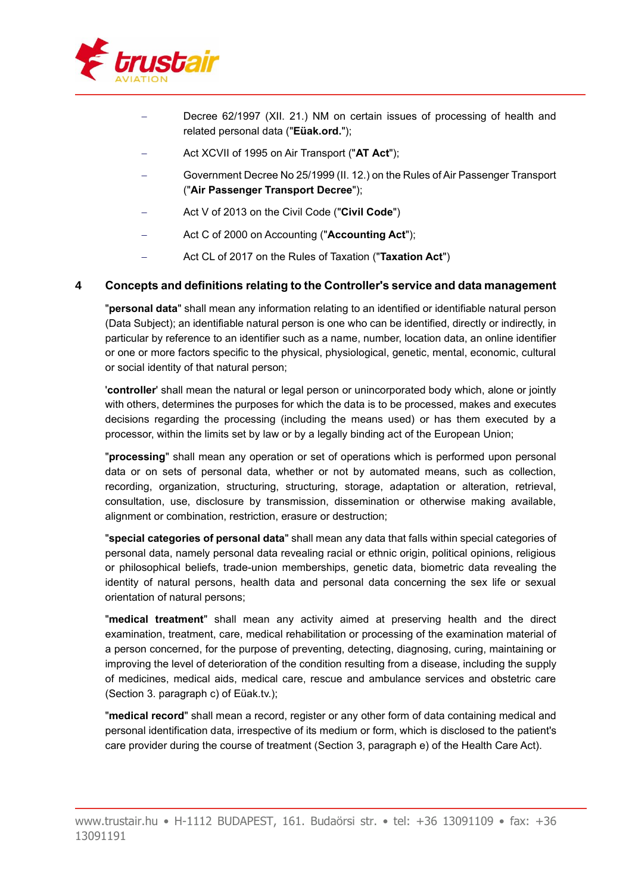

- − Decree 62/1997 (XII. 21.) NM on certain issues of processing of health and related personal data ("**Eüak.ord.**");
- − Act XCVII of 1995 on Air Transport ("**AT Act**");
- − Government Decree No 25/1999 (II. 12.) on the Rules of Air Passenger Transport ("**Air Passenger Transport Decree**");
- − Act V of 2013 on the Civil Code ("**Civil Code**")
- − Act C of 2000 on Accounting ("**Accounting Act**");
- − Act CL of 2017 on the Rules of Taxation ("**Taxation Act**")

#### **4 Concepts and definitions relating to the Controller's service and data management**

"**personal data**" shall mean any information relating to an identified or identifiable natural person (Data Subject); an identifiable natural person is one who can be identified, directly or indirectly, in particular by reference to an identifier such as a name, number, location data, an online identifier or one or more factors specific to the physical, physiological, genetic, mental, economic, cultural or social identity of that natural person;

'**controller**' shall mean the natural or legal person or unincorporated body which, alone or jointly with others, determines the purposes for which the data is to be processed, makes and executes decisions regarding the processing (including the means used) or has them executed by a processor, within the limits set by law or by a legally binding act of the European Union;

"**processing**" shall mean any operation or set of operations which is performed upon personal data or on sets of personal data, whether or not by automated means, such as collection, recording, organization, structuring, structuring, storage, adaptation or alteration, retrieval, consultation, use, disclosure by transmission, dissemination or otherwise making available, alignment or combination, restriction, erasure or destruction;

"**special categories of personal data**" shall mean any data that falls within special categories of personal data, namely personal data revealing racial or ethnic origin, political opinions, religious or philosophical beliefs, trade-union memberships, genetic data, biometric data revealing the identity of natural persons, health data and personal data concerning the sex life or sexual orientation of natural persons;

"**medical treatment**" shall mean any activity aimed at preserving health and the direct examination, treatment, care, medical rehabilitation or processing of the examination material of a person concerned, for the purpose of preventing, detecting, diagnosing, curing, maintaining or improving the level of deterioration of the condition resulting from a disease, including the supply of medicines, medical aids, medical care, rescue and ambulance services and obstetric care (Section 3. paragraph c) of Eüak.tv.);

"**medical record**" shall mean a record, register or any other form of data containing medical and personal identification data, irrespective of its medium or form, which is disclosed to the patient's care provider during the course of treatment (Section 3, paragraph e) of the Health Care Act).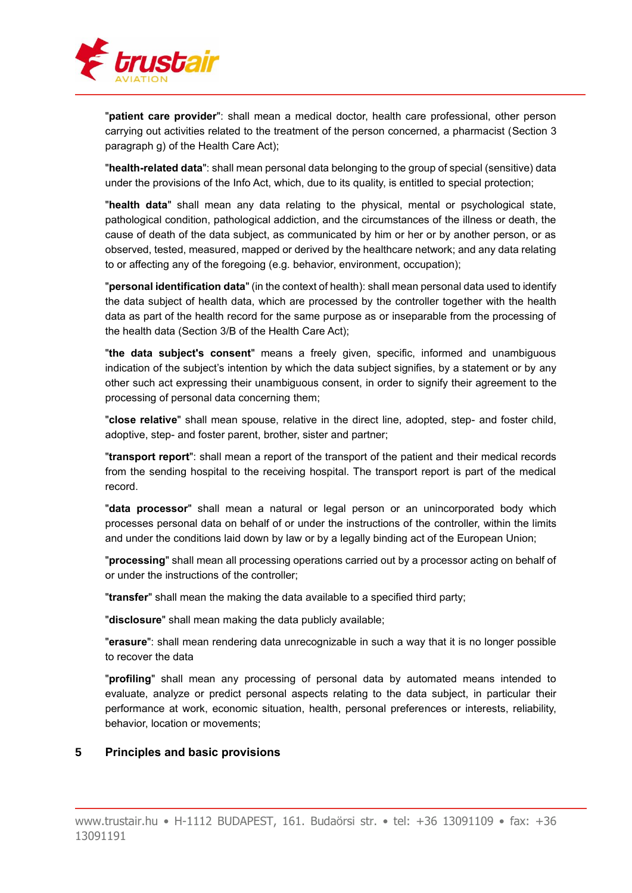

"**patient care provider**": shall mean a medical doctor, health care professional, other person carrying out activities related to the treatment of the person concerned, a pharmacist (Section 3 paragraph g) of the Health Care Act);

"**health-related data**": shall mean personal data belonging to the group of special (sensitive) data under the provisions of the Info Act, which, due to its quality, is entitled to special protection;

"**health data**" shall mean any data relating to the physical, mental or psychological state, pathological condition, pathological addiction, and the circumstances of the illness or death, the cause of death of the data subject, as communicated by him or her or by another person, or as observed, tested, measured, mapped or derived by the healthcare network; and any data relating to or affecting any of the foregoing (e.g. behavior, environment, occupation);

"**personal identification data**" (in the context of health): shall mean personal data used to identify the data subject of health data, which are processed by the controller together with the health data as part of the health record for the same purpose as or inseparable from the processing of the health data (Section 3/B of the Health Care Act);

"**the data subject's consent**" means a freely given, specific, informed and unambiguous indication of the subject's intention by which the data subject signifies, by a statement or by any other such act expressing their unambiguous consent, in order to signify their agreement to the processing of personal data concerning them;

"**close relative**" shall mean spouse, relative in the direct line, adopted, step- and foster child, adoptive, step- and foster parent, brother, sister and partner;

"**transport report**": shall mean a report of the transport of the patient and their medical records from the sending hospital to the receiving hospital. The transport report is part of the medical record.

"**data processor**" shall mean a natural or legal person or an unincorporated body which processes personal data on behalf of or under the instructions of the controller, within the limits and under the conditions laid down by law or by a legally binding act of the European Union;

"**processing**" shall mean all processing operations carried out by a processor acting on behalf of or under the instructions of the controller;

"**transfer**" shall mean the making the data available to a specified third party;

"**disclosure**" shall mean making the data publicly available;

"**erasure**": shall mean rendering data unrecognizable in such a way that it is no longer possible to recover the data

"**profiling**" shall mean any processing of personal data by automated means intended to evaluate, analyze or predict personal aspects relating to the data subject, in particular their performance at work, economic situation, health, personal preferences or interests, reliability, behavior, location or movements;

## **5 Principles and basic provisions**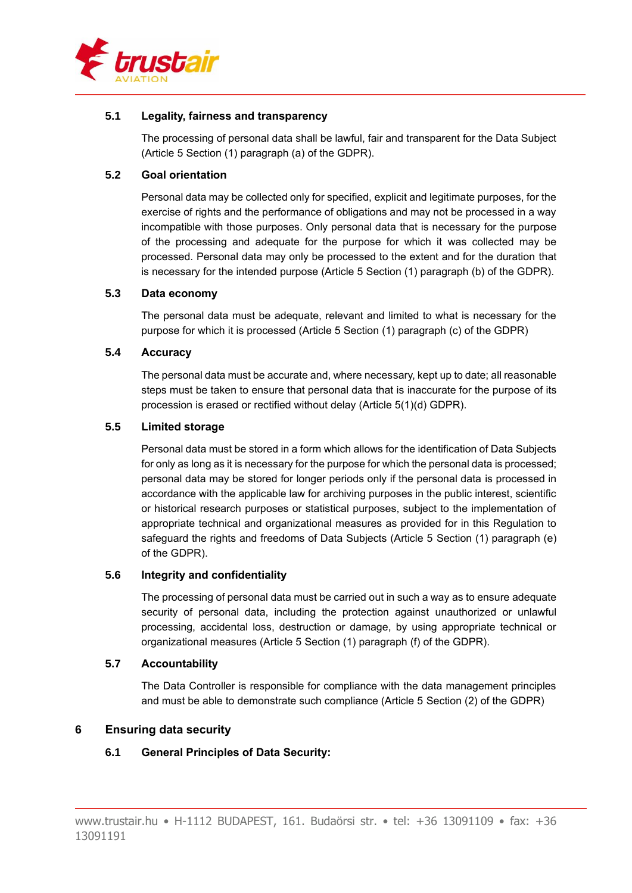

#### **5.1 Legality, fairness and transparency**

The processing of personal data shall be lawful, fair and transparent for the Data Subject (Article 5 Section (1) paragraph (a) of the GDPR).

#### **5.2 Goal orientation**

Personal data may be collected only for specified, explicit and legitimate purposes, for the exercise of rights and the performance of obligations and may not be processed in a way incompatible with those purposes. Only personal data that is necessary for the purpose of the processing and adequate for the purpose for which it was collected may be processed. Personal data may only be processed to the extent and for the duration that is necessary for the intended purpose (Article 5 Section (1) paragraph (b) of the GDPR).

#### **5.3 Data economy**

The personal data must be adequate, relevant and limited to what is necessary for the purpose for which it is processed (Article 5 Section (1) paragraph (c) of the GDPR)

#### **5.4 Accuracy**

The personal data must be accurate and, where necessary, kept up to date; all reasonable steps must be taken to ensure that personal data that is inaccurate for the purpose of its procession is erased or rectified without delay (Article 5(1)(d) GDPR).

#### **5.5 Limited storage**

Personal data must be stored in a form which allows for the identification of Data Subjects for only as long as it is necessary for the purpose for which the personal data is processed; personal data may be stored for longer periods only if the personal data is processed in accordance with the applicable law for archiving purposes in the public interest, scientific or historical research purposes or statistical purposes, subject to the implementation of appropriate technical and organizational measures as provided for in this Regulation to safeguard the rights and freedoms of Data Subjects (Article 5 Section (1) paragraph (e) of the GDPR).

#### **5.6 Integrity and confidentiality**

The processing of personal data must be carried out in such a way as to ensure adequate security of personal data, including the protection against unauthorized or unlawful processing, accidental loss, destruction or damage, by using appropriate technical or organizational measures (Article 5 Section (1) paragraph (f) of the GDPR).

#### **5.7 Accountability**

The Data Controller is responsible for compliance with the data management principles and must be able to demonstrate such compliance (Article 5 Section (2) of the GDPR)

## **6 Ensuring data security**

## **6.1 General Principles of Data Security:**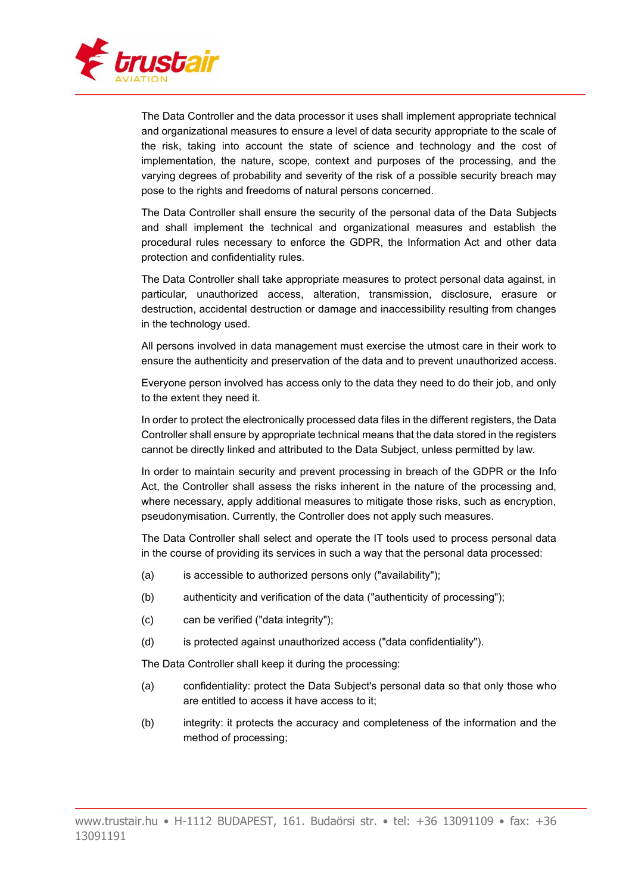

The Data Controller and the data processor it uses shall implement appropriate technical and organizational measures to ensure a level of data security appropriate to the scale of the risk, taking into account the state of science and technology and the cost of implementation, the nature, scope, context and purposes of the processing, and the varying degrees of probability and severity of the risk of a possible security breach may pose to the rights and freedoms of natural persons concerned.

The Data Controller shall ensure the security of the personal data of the Data Subjects and shall implement the technical and organizational measures and establish the procedural rules necessary to enforce the GDPR, the Information Act and other data protection and confidentiality rules.

The Data Controller shall take appropriate measures to protect personal data against, in particular, unauthorized access, alteration, transmission, disclosure, erasure or destruction, accidental destruction or damage and inaccessibility resulting from changes in the technology used.

All persons involved in data management must exercise the utmost care in their work to ensure the authenticity and preservation of the data and to prevent unauthorized access.

Everyone person involved has access only to the data they need to do their job, and only to the extent they need it.

In order to protect the electronically processed data files in the different registers, the Data Controller shall ensure by appropriate technical means that the data stored in the registers cannot be directly linked and attributed to the Data Subject, unless permitted by law.

In order to maintain security and prevent processing in breach of the GDPR or the Info Act, the Controller shall assess the risks inherent in the nature of the processing and, where necessary, apply additional measures to mitigate those risks, such as encryption, pseudonymisation. Currently, the Controller does not apply such measures.

The Data Controller shall select and operate the IT tools used to process personal data in the course of providing its services in such a way that the personal data processed:

- (a) is accessible to authorized persons only ("availability");
- (b) authenticity and verification of the data ("authenticity of processing");
- (c) can be verified ("data integrity");
- (d) is protected against unauthorized access ("data confidentiality").

The Data Controller shall keep it during the processing:

- (a) confidentiality: protect the Data Subject's personal data so that only those who are entitled to access it have access to it;
- (b) integrity: it protects the accuracy and completeness of the information and the method of processing;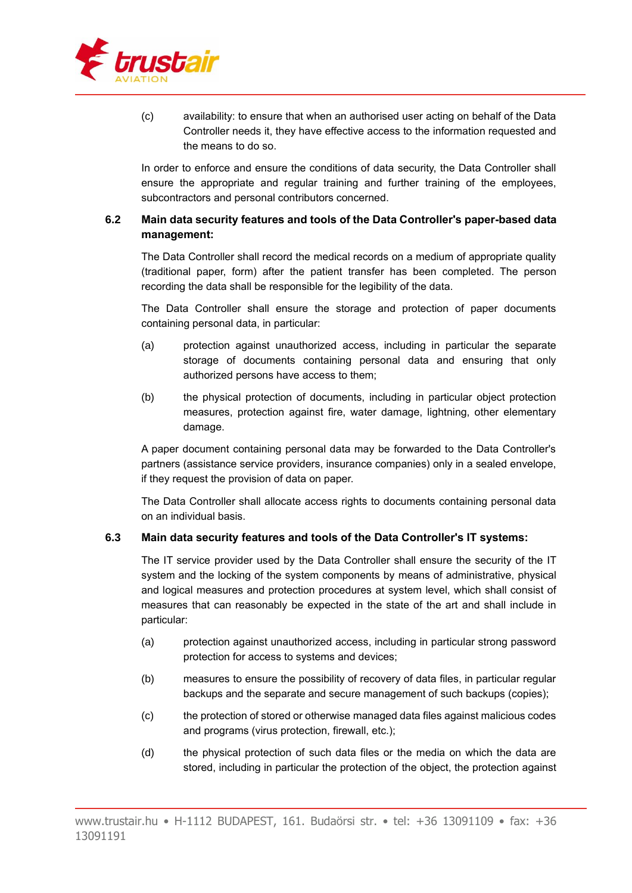

(c) availability: to ensure that when an authorised user acting on behalf of the Data Controller needs it, they have effective access to the information requested and the means to do so.

In order to enforce and ensure the conditions of data security, the Data Controller shall ensure the appropriate and regular training and further training of the employees, subcontractors and personal contributors concerned.

### **6.2 Main data security features and tools of the Data Controller's paper-based data management:**

The Data Controller shall record the medical records on a medium of appropriate quality (traditional paper, form) after the patient transfer has been completed. The person recording the data shall be responsible for the legibility of the data.

The Data Controller shall ensure the storage and protection of paper documents containing personal data, in particular:

- (a) protection against unauthorized access, including in particular the separate storage of documents containing personal data and ensuring that only authorized persons have access to them;
- (b) the physical protection of documents, including in particular object protection measures, protection against fire, water damage, lightning, other elementary damage.

A paper document containing personal data may be forwarded to the Data Controller's partners (assistance service providers, insurance companies) only in a sealed envelope, if they request the provision of data on paper.

The Data Controller shall allocate access rights to documents containing personal data on an individual basis.

## **6.3 Main data security features and tools of the Data Controller's IT systems:**

The IT service provider used by the Data Controller shall ensure the security of the IT system and the locking of the system components by means of administrative, physical and logical measures and protection procedures at system level, which shall consist of measures that can reasonably be expected in the state of the art and shall include in particular:

- (a) protection against unauthorized access, including in particular strong password protection for access to systems and devices;
- (b) measures to ensure the possibility of recovery of data files, in particular regular backups and the separate and secure management of such backups (copies);
- (c) the protection of stored or otherwise managed data files against malicious codes and programs (virus protection, firewall, etc.);
- (d) the physical protection of such data files or the media on which the data are stored, including in particular the protection of the object, the protection against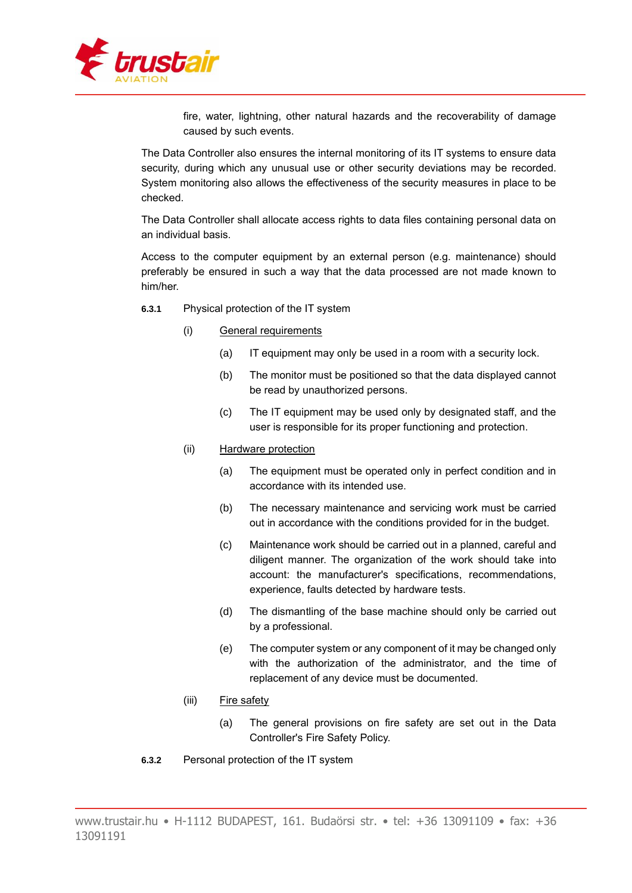

fire, water, lightning, other natural hazards and the recoverability of damage caused by such events.

The Data Controller also ensures the internal monitoring of its IT systems to ensure data security, during which any unusual use or other security deviations may be recorded. System monitoring also allows the effectiveness of the security measures in place to be checked.

The Data Controller shall allocate access rights to data files containing personal data on an individual basis.

Access to the computer equipment by an external person (e.g. maintenance) should preferably be ensured in such a way that the data processed are not made known to him/her.

- **6.3.1** Physical protection of the IT system
	- (i) General requirements
		- (a) IT equipment may only be used in a room with a security lock.
		- (b) The monitor must be positioned so that the data displayed cannot be read by unauthorized persons.
		- (c) The IT equipment may be used only by designated staff, and the user is responsible for its proper functioning and protection.
	- (ii) Hardware protection
		- (a) The equipment must be operated only in perfect condition and in accordance with its intended use.
		- (b) The necessary maintenance and servicing work must be carried out in accordance with the conditions provided for in the budget.
		- (c) Maintenance work should be carried out in a planned, careful and diligent manner. The organization of the work should take into account: the manufacturer's specifications, recommendations, experience, faults detected by hardware tests.
		- (d) The dismantling of the base machine should only be carried out by a professional.
		- (e) The computer system or any component of it may be changed only with the authorization of the administrator, and the time of replacement of any device must be documented.
	- (iii) Fire safety
		- (a) The general provisions on fire safety are set out in the Data Controller's Fire Safety Policy.
- **6.3.2** Personal protection of the IT system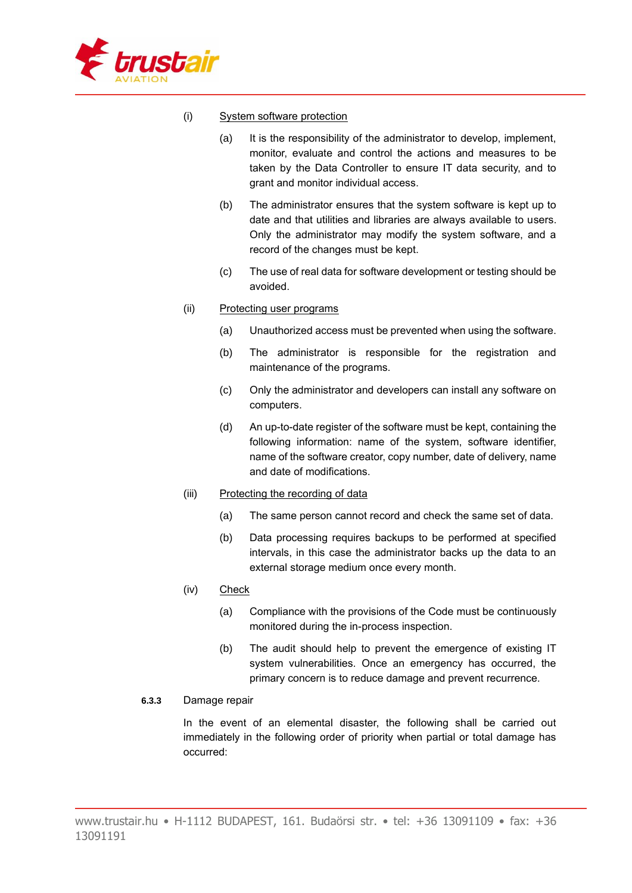

#### (i) System software protection

- (a) It is the responsibility of the administrator to develop, implement, monitor, evaluate and control the actions and measures to be taken by the Data Controller to ensure IT data security, and to grant and monitor individual access.
- (b) The administrator ensures that the system software is kept up to date and that utilities and libraries are always available to users. Only the administrator may modify the system software, and a record of the changes must be kept.
- (c) The use of real data for software development or testing should be avoided.
- (ii) Protecting user programs
	- (a) Unauthorized access must be prevented when using the software.
	- (b) The administrator is responsible for the registration and maintenance of the programs.
	- (c) Only the administrator and developers can install any software on computers.
	- (d) An up-to-date register of the software must be kept, containing the following information: name of the system, software identifier, name of the software creator, copy number, date of delivery, name and date of modifications.
- (iii) Protecting the recording of data
	- (a) The same person cannot record and check the same set of data.
	- (b) Data processing requires backups to be performed at specified intervals, in this case the administrator backs up the data to an external storage medium once every month.
- (iv) Check
	- (a) Compliance with the provisions of the Code must be continuously monitored during the in-process inspection.
	- (b) The audit should help to prevent the emergence of existing IT system vulnerabilities. Once an emergency has occurred, the primary concern is to reduce damage and prevent recurrence.

## **6.3.3** Damage repair

In the event of an elemental disaster, the following shall be carried out immediately in the following order of priority when partial or total damage has occurred: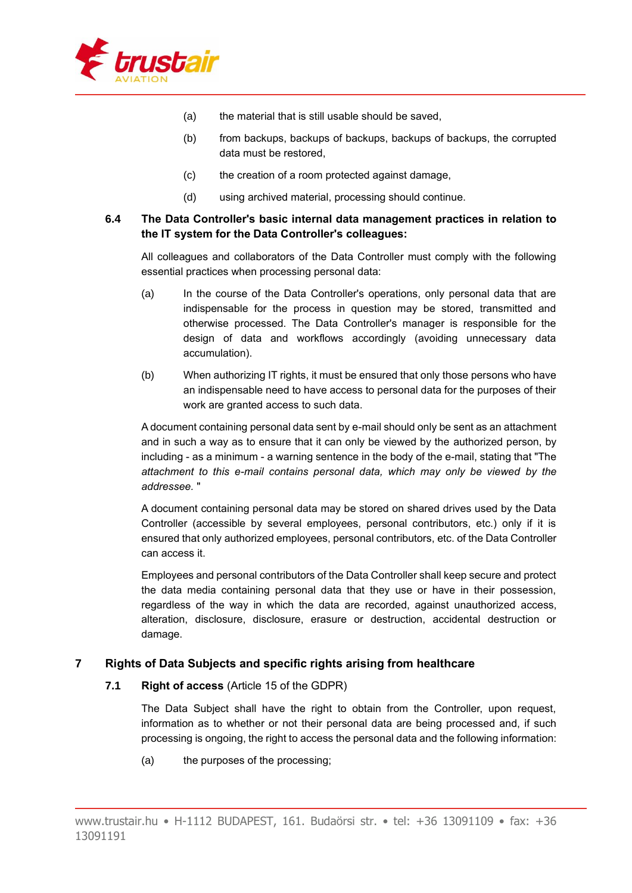

- (a) the material that is still usable should be saved,
- (b) from backups, backups of backups, backups of backups, the corrupted data must be restored,
- (c) the creation of a room protected against damage,
- (d) using archived material, processing should continue.

#### **6.4 The Data Controller's basic internal data management practices in relation to the IT system for the Data Controller's colleagues:**

All colleagues and collaborators of the Data Controller must comply with the following essential practices when processing personal data:

- (a) In the course of the Data Controller's operations, only personal data that are indispensable for the process in question may be stored, transmitted and otherwise processed. The Data Controller's manager is responsible for the design of data and workflows accordingly (avoiding unnecessary data accumulation).
- (b) When authorizing IT rights, it must be ensured that only those persons who have an indispensable need to have access to personal data for the purposes of their work are granted access to such data.

A document containing personal data sent by e-mail should only be sent as an attachment and in such a way as to ensure that it can only be viewed by the authorized person, by including - as a minimum - a warning sentence in the body of the e-mail, stating that "The *attachment to this e-mail contains personal data, which may only be viewed by the addressee.* "

A document containing personal data may be stored on shared drives used by the Data Controller (accessible by several employees, personal contributors, etc.) only if it is ensured that only authorized employees, personal contributors, etc. of the Data Controller can access it.

Employees and personal contributors of the Data Controller shall keep secure and protect the data media containing personal data that they use or have in their possession, regardless of the way in which the data are recorded, against unauthorized access, alteration, disclosure, disclosure, erasure or destruction, accidental destruction or damage.

## **7 Rights of Data Subjects and specific rights arising from healthcare**

## **7.1 Right of access** (Article 15 of the GDPR)

The Data Subject shall have the right to obtain from the Controller, upon request, information as to whether or not their personal data are being processed and, if such processing is ongoing, the right to access the personal data and the following information:

(a) the purposes of the processing;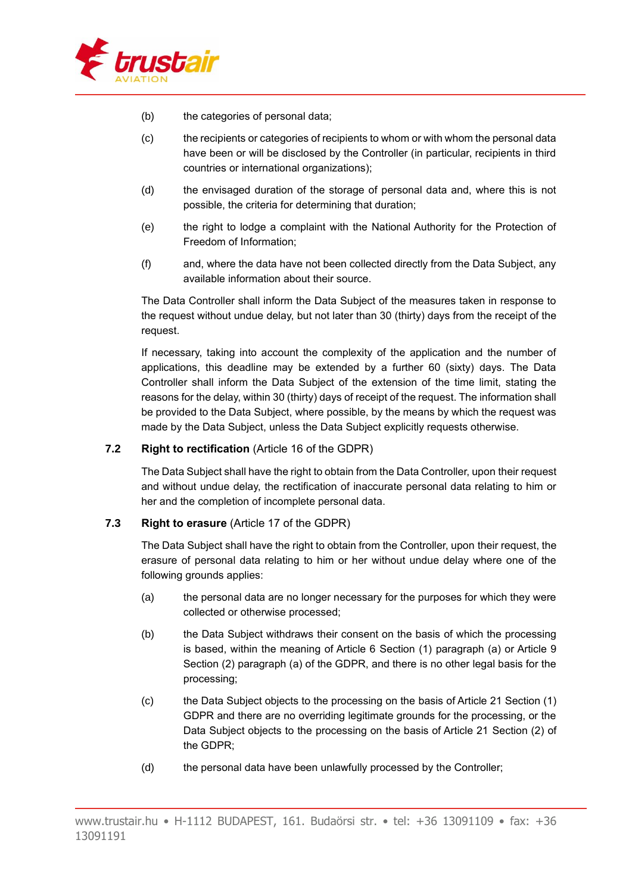

- (b) the categories of personal data;
- (c) the recipients or categories of recipients to whom or with whom the personal data have been or will be disclosed by the Controller (in particular, recipients in third countries or international organizations);
- (d) the envisaged duration of the storage of personal data and, where this is not possible, the criteria for determining that duration;
- (e) the right to lodge a complaint with the National Authority for the Protection of Freedom of Information;
- (f) and, where the data have not been collected directly from the Data Subject, any available information about their source.

The Data Controller shall inform the Data Subject of the measures taken in response to the request without undue delay, but not later than 30 (thirty) days from the receipt of the request.

If necessary, taking into account the complexity of the application and the number of applications, this deadline may be extended by a further 60 (sixty) days. The Data Controller shall inform the Data Subject of the extension of the time limit, stating the reasons for the delay, within 30 (thirty) days of receipt of the request. The information shall be provided to the Data Subject, where possible, by the means by which the request was made by the Data Subject, unless the Data Subject explicitly requests otherwise.

## **7.2 Right to rectification** (Article 16 of the GDPR)

The Data Subject shall have the right to obtain from the Data Controller, upon their request and without undue delay, the rectification of inaccurate personal data relating to him or her and the completion of incomplete personal data.

## **7.3 Right to erasure** (Article 17 of the GDPR)

The Data Subject shall have the right to obtain from the Controller, upon their request, the erasure of personal data relating to him or her without undue delay where one of the following grounds applies:

- (a) the personal data are no longer necessary for the purposes for which they were collected or otherwise processed;
- (b) the Data Subject withdraws their consent on the basis of which the processing is based, within the meaning of Article 6 Section (1) paragraph (a) or Article 9 Section (2) paragraph (a) of the GDPR, and there is no other legal basis for the processing;
- (c) the Data Subject objects to the processing on the basis of Article 21 Section (1) GDPR and there are no overriding legitimate grounds for the processing, or the Data Subject objects to the processing on the basis of Article 21 Section (2) of the GDPR;
- (d) the personal data have been unlawfully processed by the Controller;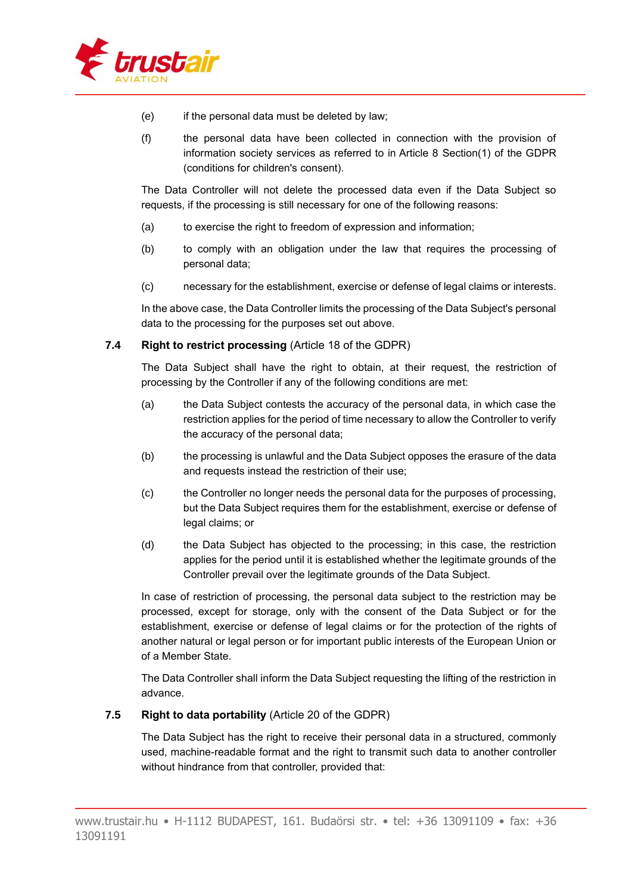

- $(e)$  if the personal data must be deleted by law;
- (f) the personal data have been collected in connection with the provision of information society services as referred to in Article 8 Section(1) of the GDPR (conditions for children's consent).

The Data Controller will not delete the processed data even if the Data Subject so requests, if the processing is still necessary for one of the following reasons:

- (a) to exercise the right to freedom of expression and information:
- (b) to comply with an obligation under the law that requires the processing of personal data;
- (c) necessary for the establishment, exercise or defense of legal claims or interests.

In the above case, the Data Controller limits the processing of the Data Subject's personal data to the processing for the purposes set out above.

## **7.4 Right to restrict processing** (Article 18 of the GDPR)

The Data Subject shall have the right to obtain, at their request, the restriction of processing by the Controller if any of the following conditions are met:

- (a) the Data Subject contests the accuracy of the personal data, in which case the restriction applies for the period of time necessary to allow the Controller to verify the accuracy of the personal data;
- (b) the processing is unlawful and the Data Subject opposes the erasure of the data and requests instead the restriction of their use;
- (c) the Controller no longer needs the personal data for the purposes of processing, but the Data Subject requires them for the establishment, exercise or defense of legal claims; or
- (d) the Data Subject has objected to the processing; in this case, the restriction applies for the period until it is established whether the legitimate grounds of the Controller prevail over the legitimate grounds of the Data Subject.

In case of restriction of processing, the personal data subject to the restriction may be processed, except for storage, only with the consent of the Data Subject or for the establishment, exercise or defense of legal claims or for the protection of the rights of another natural or legal person or for important public interests of the European Union or of a Member State.

The Data Controller shall inform the Data Subject requesting the lifting of the restriction in advance.

## **7.5 Right to data portability** (Article 20 of the GDPR)

The Data Subject has the right to receive their personal data in a structured, commonly used, machine-readable format and the right to transmit such data to another controller without hindrance from that controller, provided that: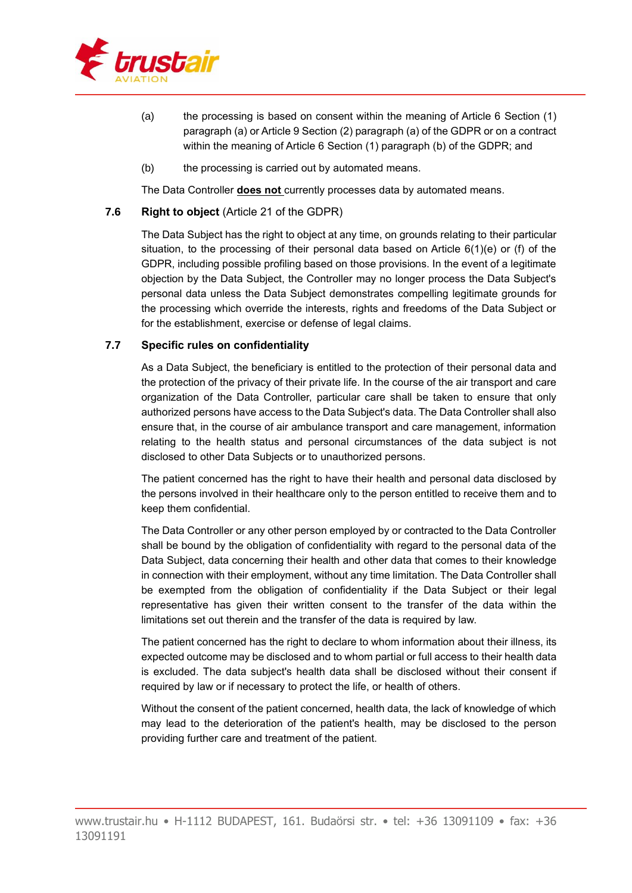

- (a) the processing is based on consent within the meaning of Article 6 Section (1) paragraph (a) or Article 9 Section (2) paragraph (a) of the GDPR or on a contract within the meaning of Article 6 Section (1) paragraph (b) of the GDPR; and
- (b) the processing is carried out by automated means.

The Data Controller **does not** currently processes data by automated means.

#### **7.6 Right to object** (Article 21 of the GDPR)

The Data Subject has the right to object at any time, on grounds relating to their particular situation, to the processing of their personal data based on Article  $6(1)(e)$  or (f) of the GDPR, including possible profiling based on those provisions. In the event of a legitimate objection by the Data Subject, the Controller may no longer process the Data Subject's personal data unless the Data Subject demonstrates compelling legitimate grounds for the processing which override the interests, rights and freedoms of the Data Subject or for the establishment, exercise or defense of legal claims.

#### **7.7 Specific rules on confidentiality**

As a Data Subject, the beneficiary is entitled to the protection of their personal data and the protection of the privacy of their private life. In the course of the air transport and care organization of the Data Controller, particular care shall be taken to ensure that only authorized persons have access to the Data Subject's data. The Data Controller shall also ensure that, in the course of air ambulance transport and care management, information relating to the health status and personal circumstances of the data subject is not disclosed to other Data Subjects or to unauthorized persons.

The patient concerned has the right to have their health and personal data disclosed by the persons involved in their healthcare only to the person entitled to receive them and to keep them confidential.

The Data Controller or any other person employed by or contracted to the Data Controller shall be bound by the obligation of confidentiality with regard to the personal data of the Data Subject, data concerning their health and other data that comes to their knowledge in connection with their employment, without any time limitation. The Data Controller shall be exempted from the obligation of confidentiality if the Data Subject or their legal representative has given their written consent to the transfer of the data within the limitations set out therein and the transfer of the data is required by law.

The patient concerned has the right to declare to whom information about their illness, its expected outcome may be disclosed and to whom partial or full access to their health data is excluded. The data subject's health data shall be disclosed without their consent if required by law or if necessary to protect the life, or health of others.

Without the consent of the patient concerned, health data, the lack of knowledge of which may lead to the deterioration of the patient's health, may be disclosed to the person providing further care and treatment of the patient.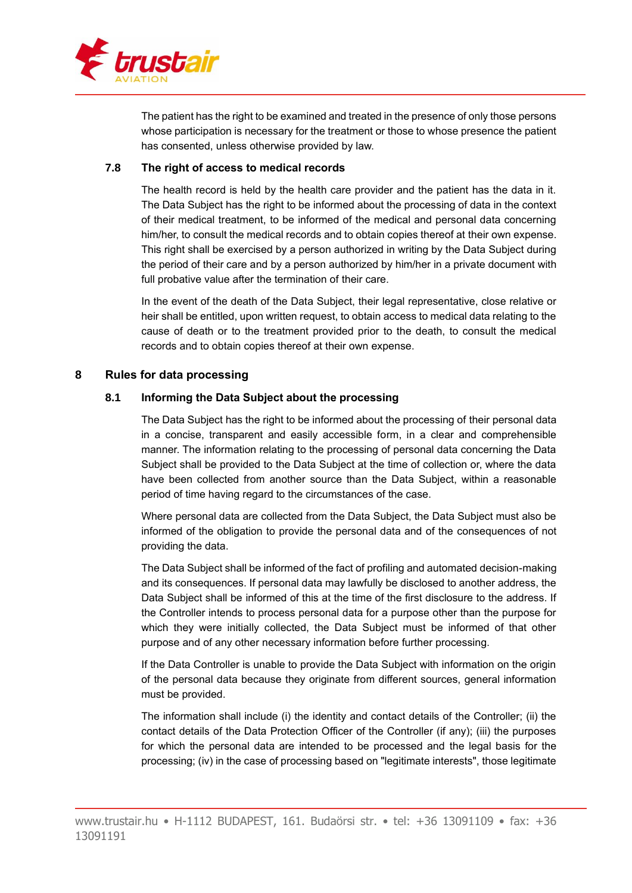

The patient has the right to be examined and treated in the presence of only those persons whose participation is necessary for the treatment or those to whose presence the patient has consented, unless otherwise provided by law.

#### **7.8 The right of access to medical records**

The health record is held by the health care provider and the patient has the data in it. The Data Subject has the right to be informed about the processing of data in the context of their medical treatment, to be informed of the medical and personal data concerning him/her, to consult the medical records and to obtain copies thereof at their own expense. This right shall be exercised by a person authorized in writing by the Data Subject during the period of their care and by a person authorized by him/her in a private document with full probative value after the termination of their care.

In the event of the death of the Data Subject, their legal representative, close relative or heir shall be entitled, upon written request, to obtain access to medical data relating to the cause of death or to the treatment provided prior to the death, to consult the medical records and to obtain copies thereof at their own expense.

## **8 Rules for data processing**

#### **8.1 Informing the Data Subject about the processing**

The Data Subject has the right to be informed about the processing of their personal data in a concise, transparent and easily accessible form, in a clear and comprehensible manner. The information relating to the processing of personal data concerning the Data Subject shall be provided to the Data Subject at the time of collection or, where the data have been collected from another source than the Data Subject, within a reasonable period of time having regard to the circumstances of the case.

Where personal data are collected from the Data Subject, the Data Subject must also be informed of the obligation to provide the personal data and of the consequences of not providing the data.

The Data Subject shall be informed of the fact of profiling and automated decision-making and its consequences. If personal data may lawfully be disclosed to another address, the Data Subject shall be informed of this at the time of the first disclosure to the address. If the Controller intends to process personal data for a purpose other than the purpose for which they were initially collected, the Data Subject must be informed of that other purpose and of any other necessary information before further processing.

If the Data Controller is unable to provide the Data Subject with information on the origin of the personal data because they originate from different sources, general information must be provided.

The information shall include (i) the identity and contact details of the Controller; (ii) the contact details of the Data Protection Officer of the Controller (if any); (iii) the purposes for which the personal data are intended to be processed and the legal basis for the processing; (iv) in the case of processing based on "legitimate interests", those legitimate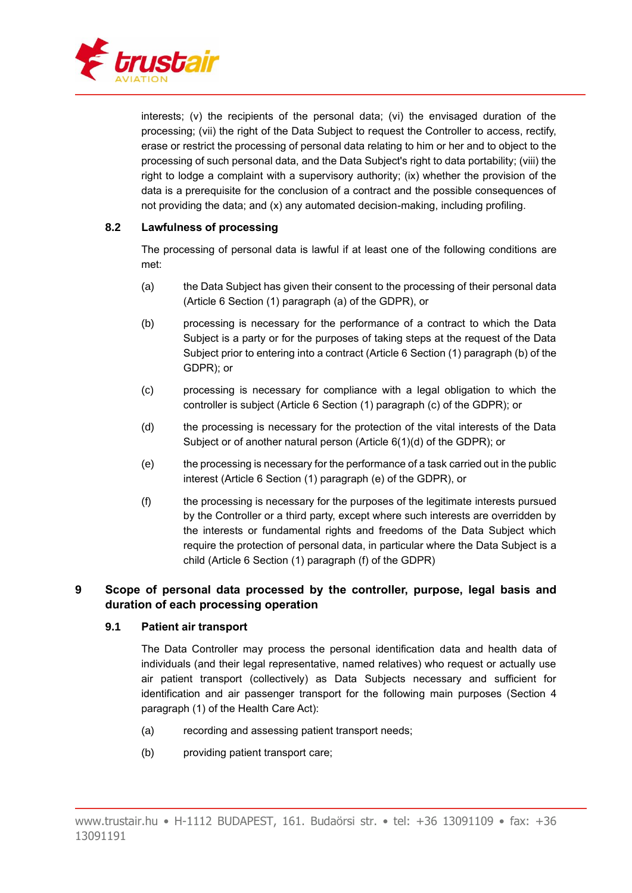

interests; (v) the recipients of the personal data; (vi) the envisaged duration of the processing; (vii) the right of the Data Subject to request the Controller to access, rectify, erase or restrict the processing of personal data relating to him or her and to object to the processing of such personal data, and the Data Subject's right to data portability; (viii) the right to lodge a complaint with a supervisory authority; (ix) whether the provision of the data is a prerequisite for the conclusion of a contract and the possible consequences of not providing the data; and (x) any automated decision-making, including profiling.

# **8.2 Lawfulness of processing**

The processing of personal data is lawful if at least one of the following conditions are met:

- (a) the Data Subject has given their consent to the processing of their personal data (Article 6 Section (1) paragraph (a) of the GDPR), or
- (b) processing is necessary for the performance of a contract to which the Data Subject is a party or for the purposes of taking steps at the request of the Data Subject prior to entering into a contract (Article 6 Section (1) paragraph (b) of the GDPR); or
- (c) processing is necessary for compliance with a legal obligation to which the controller is subject (Article 6 Section (1) paragraph (c) of the GDPR); or
- (d) the processing is necessary for the protection of the vital interests of the Data Subject or of another natural person (Article 6(1)(d) of the GDPR); or
- (e) the processing is necessary for the performance of a task carried out in the public interest (Article 6 Section (1) paragraph (e) of the GDPR), or
- (f) the processing is necessary for the purposes of the legitimate interests pursued by the Controller or a third party, except where such interests are overridden by the interests or fundamental rights and freedoms of the Data Subject which require the protection of personal data, in particular where the Data Subject is a child (Article 6 Section (1) paragraph (f) of the GDPR)

# **9 Scope of personal data processed by the controller, purpose, legal basis and duration of each processing operation**

#### **9.1 Patient air transport**

The Data Controller may process the personal identification data and health data of individuals (and their legal representative, named relatives) who request or actually use air patient transport (collectively) as Data Subjects necessary and sufficient for identification and air passenger transport for the following main purposes (Section 4 paragraph (1) of the Health Care Act):

- (a) recording and assessing patient transport needs;
- (b) providing patient transport care;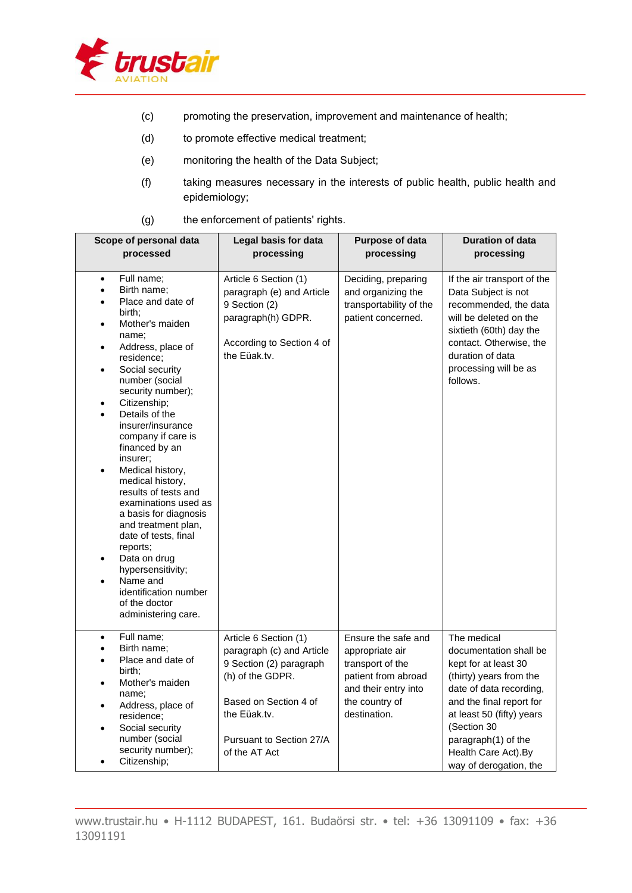

- (c) promoting the preservation, improvement and maintenance of health;
- (d) to promote effective medical treatment;
- (e) monitoring the health of the Data Subject;
- (f) taking measures necessary in the interests of public health, public health and epidemiology;

| Scope of personal data<br>processed                                                                                                                                                                                                                                                                                                                                                                                                                                                                                                                                                                                                                                                   | Legal basis for data<br>processing                                                                                                                                                      | Purpose of data<br>processing                                                                                                               | <b>Duration of data</b><br>processing                                                                                                                                                                                                                               |
|---------------------------------------------------------------------------------------------------------------------------------------------------------------------------------------------------------------------------------------------------------------------------------------------------------------------------------------------------------------------------------------------------------------------------------------------------------------------------------------------------------------------------------------------------------------------------------------------------------------------------------------------------------------------------------------|-----------------------------------------------------------------------------------------------------------------------------------------------------------------------------------------|---------------------------------------------------------------------------------------------------------------------------------------------|---------------------------------------------------------------------------------------------------------------------------------------------------------------------------------------------------------------------------------------------------------------------|
| Full name;<br>$\bullet$<br>Birth name:<br>$\bullet$<br>Place and date of<br>birth:<br>Mother's maiden<br>$\bullet$<br>name;<br>Address, place of<br>residence;<br>Social security<br>$\bullet$<br>number (social<br>security number);<br>Citizenship;<br>$\bullet$<br>Details of the<br>insurer/insurance<br>company if care is<br>financed by an<br>insurer;<br>Medical history,<br>$\bullet$<br>medical history,<br>results of tests and<br>examinations used as<br>a basis for diagnosis<br>and treatment plan,<br>date of tests, final<br>reports;<br>Data on drug<br>$\bullet$<br>hypersensitivity;<br>Name and<br>identification number<br>of the doctor<br>administering care. | Article 6 Section (1)<br>paragraph (e) and Article<br>9 Section (2)<br>paragraph(h) GDPR.<br>According to Section 4 of<br>the Eüak.tv.                                                  | Deciding, preparing<br>and organizing the<br>transportability of the<br>patient concerned.                                                  | If the air transport of the<br>Data Subject is not<br>recommended, the data<br>will be deleted on the<br>sixtieth (60th) day the<br>contact. Otherwise, the<br>duration of data<br>processing will be as<br>follows.                                                |
| Full name;<br>$\bullet$<br>Birth name:<br>$\bullet$<br>Place and date of<br>birth:<br>Mother's maiden<br>name;<br>Address, place of<br>$\bullet$<br>residence;<br>Social security<br>$\bullet$<br>number (social<br>security number);<br>Citizenship;                                                                                                                                                                                                                                                                                                                                                                                                                                 | Article 6 Section (1)<br>paragraph (c) and Article<br>9 Section (2) paragraph<br>(h) of the GDPR.<br>Based on Section 4 of<br>the Eüak.tv.<br>Pursuant to Section 27/A<br>of the AT Act | Ensure the safe and<br>appropriate air<br>transport of the<br>patient from abroad<br>and their entry into<br>the country of<br>destination. | The medical<br>documentation shall be<br>kept for at least 30<br>(thirty) years from the<br>date of data recording,<br>and the final report for<br>at least 50 (fifty) years<br>(Section 30<br>paragraph(1) of the<br>Health Care Act).By<br>way of derogation, the |

(g) the enforcement of patients' rights.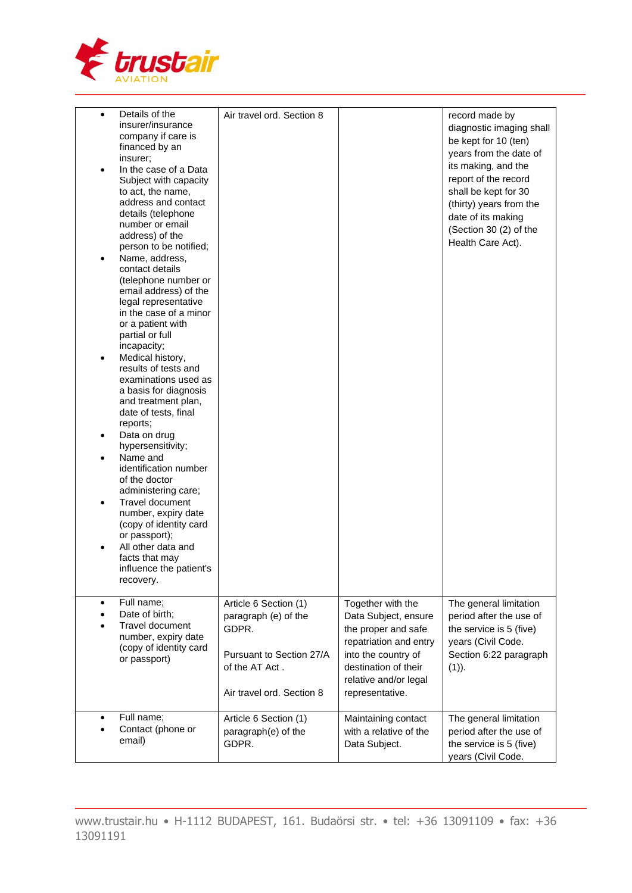

| $\bullet$<br>٠<br>٠<br>$\bullet$<br>٠<br>$\bullet$<br>$\bullet$ | Details of the<br>insurer/insurance<br>company if care is<br>financed by an<br>insurer;<br>In the case of a Data<br>Subject with capacity<br>to act, the name,<br>address and contact<br>details (telephone<br>number or email<br>address) of the<br>person to be notified;<br>Name, address,<br>contact details<br>(telephone number or<br>email address) of the<br>legal representative<br>in the case of a minor<br>or a patient with<br>partial or full<br>incapacity;<br>Medical history,<br>results of tests and<br>examinations used as<br>a basis for diagnosis<br>and treatment plan,<br>date of tests, final<br>reports;<br>Data on drug<br>hypersensitivity;<br>Name and<br>identification number<br>of the doctor<br>administering care;<br>Travel document<br>number, expiry date<br>(copy of identity card<br>or passport);<br>All other data and<br>facts that may<br>influence the patient's<br>recovery. | Air travel ord, Section 8                                                                                                         |                                                                                                                                                                                       | record made by<br>diagnostic imaging shall<br>be kept for 10 (ten)<br>years from the date of<br>its making, and the<br>report of the record<br>shall be kept for 30<br>(thirty) years from the<br>date of its making<br>(Section 30 (2) of the<br>Health Care Act). |
|-----------------------------------------------------------------|---------------------------------------------------------------------------------------------------------------------------------------------------------------------------------------------------------------------------------------------------------------------------------------------------------------------------------------------------------------------------------------------------------------------------------------------------------------------------------------------------------------------------------------------------------------------------------------------------------------------------------------------------------------------------------------------------------------------------------------------------------------------------------------------------------------------------------------------------------------------------------------------------------------------------|-----------------------------------------------------------------------------------------------------------------------------------|---------------------------------------------------------------------------------------------------------------------------------------------------------------------------------------|---------------------------------------------------------------------------------------------------------------------------------------------------------------------------------------------------------------------------------------------------------------------|
| $\bullet$<br>٠                                                  | Full name;<br>Date of birth;<br><b>Travel document</b><br>number, expiry date<br>(copy of identity card<br>or passport)                                                                                                                                                                                                                                                                                                                                                                                                                                                                                                                                                                                                                                                                                                                                                                                                   | Article 6 Section (1)<br>paragraph (e) of the<br>GDPR.<br>Pursuant to Section 27/A<br>of the AT Act.<br>Air travel ord, Section 8 | Together with the<br>Data Subject, ensure<br>the proper and safe<br>repatriation and entry<br>into the country of<br>destination of their<br>relative and/or legal<br>representative. | The general limitation<br>period after the use of<br>the service is 5 (five)<br>years (Civil Code.<br>Section 6:22 paragraph<br>$(1)$ ).                                                                                                                            |
| ٠                                                               | Full name;<br>Contact (phone or<br>email)                                                                                                                                                                                                                                                                                                                                                                                                                                                                                                                                                                                                                                                                                                                                                                                                                                                                                 | Article 6 Section (1)<br>paragraph(e) of the<br>GDPR.                                                                             | Maintaining contact<br>with a relative of the<br>Data Subject.                                                                                                                        | The general limitation<br>period after the use of<br>the service is 5 (five)<br>years (Civil Code.                                                                                                                                                                  |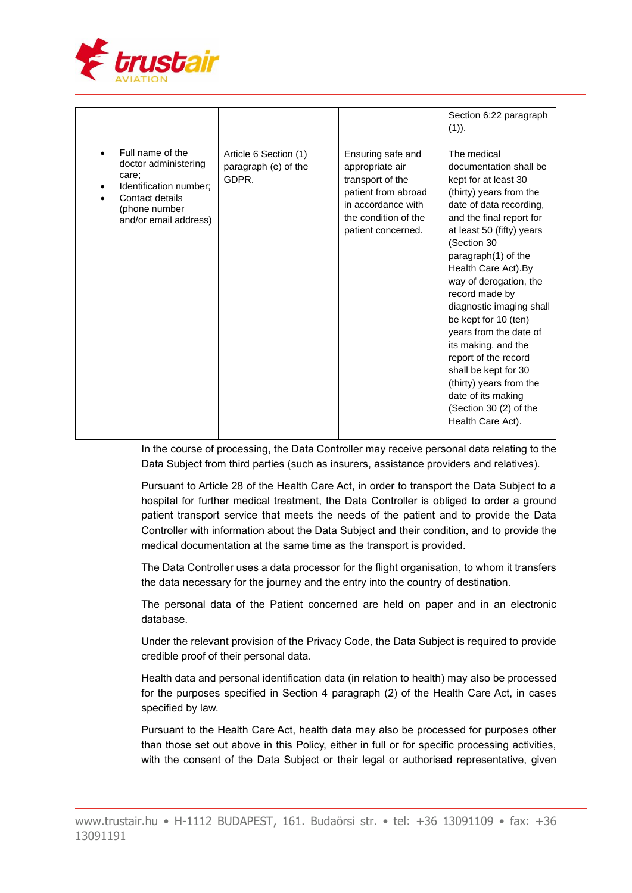

|                                                                                                                                          |                                                        |                                                                                                                                                     | Section 6:22 paragraph<br>$(1)$ ).                                                                                                                                                                                                                                                                                                                                                                                                                                                                                                         |
|------------------------------------------------------------------------------------------------------------------------------------------|--------------------------------------------------------|-----------------------------------------------------------------------------------------------------------------------------------------------------|--------------------------------------------------------------------------------------------------------------------------------------------------------------------------------------------------------------------------------------------------------------------------------------------------------------------------------------------------------------------------------------------------------------------------------------------------------------------------------------------------------------------------------------------|
| Full name of the<br>doctor administering<br>care:<br>Identification number:<br>Contact details<br>(phone number<br>and/or email address) | Article 6 Section (1)<br>paragraph (e) of the<br>GDPR. | Ensuring safe and<br>appropriate air<br>transport of the<br>patient from abroad<br>in accordance with<br>the condition of the<br>patient concerned. | The medical<br>documentation shall be<br>kept for at least 30<br>(thirty) years from the<br>date of data recording,<br>and the final report for<br>at least 50 (fifty) years<br>(Section 30<br>paragraph(1) of the<br>Health Care Act).By<br>way of derogation, the<br>record made by<br>diagnostic imaging shall<br>be kept for 10 (ten)<br>years from the date of<br>its making, and the<br>report of the record<br>shall be kept for 30<br>(thirty) years from the<br>date of its making<br>(Section 30 (2) of the<br>Health Care Act). |

In the course of processing, the Data Controller may receive personal data relating to the Data Subject from third parties (such as insurers, assistance providers and relatives).

Pursuant to Article 28 of the Health Care Act, in order to transport the Data Subject to a hospital for further medical treatment, the Data Controller is obliged to order a ground patient transport service that meets the needs of the patient and to provide the Data Controller with information about the Data Subject and their condition, and to provide the medical documentation at the same time as the transport is provided.

The Data Controller uses a data processor for the flight organisation, to whom it transfers the data necessary for the journey and the entry into the country of destination.

The personal data of the Patient concerned are held on paper and in an electronic database.

Under the relevant provision of the Privacy Code, the Data Subject is required to provide credible proof of their personal data.

Health data and personal identification data (in relation to health) may also be processed for the purposes specified in Section 4 paragraph (2) of the Health Care Act, in cases specified by law.

Pursuant to the Health Care Act, health data may also be processed for purposes other than those set out above in this Policy, either in full or for specific processing activities, with the consent of the Data Subject or their legal or authorised representative, given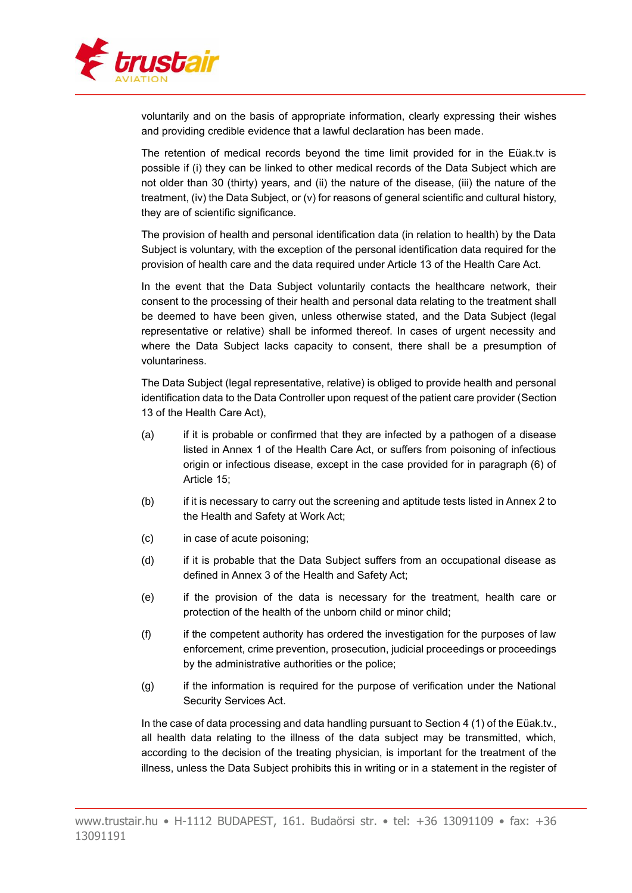

voluntarily and on the basis of appropriate information, clearly expressing their wishes and providing credible evidence that a lawful declaration has been made.

The retention of medical records beyond the time limit provided for in the Eüak.tv is possible if (i) they can be linked to other medical records of the Data Subject which are not older than 30 (thirty) years, and (ii) the nature of the disease, (iii) the nature of the treatment, (iv) the Data Subject, or (v) for reasons of general scientific and cultural history, they are of scientific significance.

The provision of health and personal identification data (in relation to health) by the Data Subject is voluntary, with the exception of the personal identification data required for the provision of health care and the data required under Article 13 of the Health Care Act.

In the event that the Data Subject voluntarily contacts the healthcare network, their consent to the processing of their health and personal data relating to the treatment shall be deemed to have been given, unless otherwise stated, and the Data Subject (legal representative or relative) shall be informed thereof. In cases of urgent necessity and where the Data Subject lacks capacity to consent, there shall be a presumption of voluntariness.

The Data Subject (legal representative, relative) is obliged to provide health and personal identification data to the Data Controller upon request of the patient care provider (Section 13 of the Health Care Act),

- (a) if it is probable or confirmed that they are infected by a pathogen of a disease listed in Annex 1 of the Health Care Act, or suffers from poisoning of infectious origin or infectious disease, except in the case provided for in paragraph (6) of Article 15;
- (b) if it is necessary to carry out the screening and aptitude tests listed in Annex 2 to the Health and Safety at Work Act;
- (c) in case of acute poisoning;
- (d) if it is probable that the Data Subject suffers from an occupational disease as defined in Annex 3 of the Health and Safety Act;
- (e) if the provision of the data is necessary for the treatment, health care or protection of the health of the unborn child or minor child;
- (f) if the competent authority has ordered the investigation for the purposes of law enforcement, crime prevention, prosecution, judicial proceedings or proceedings by the administrative authorities or the police;
- (g) if the information is required for the purpose of verification under the National Security Services Act.

In the case of data processing and data handling pursuant to Section 4 (1) of the Eüak.tv., all health data relating to the illness of the data subject may be transmitted, which, according to the decision of the treating physician, is important for the treatment of the illness, unless the Data Subject prohibits this in writing or in a statement in the register of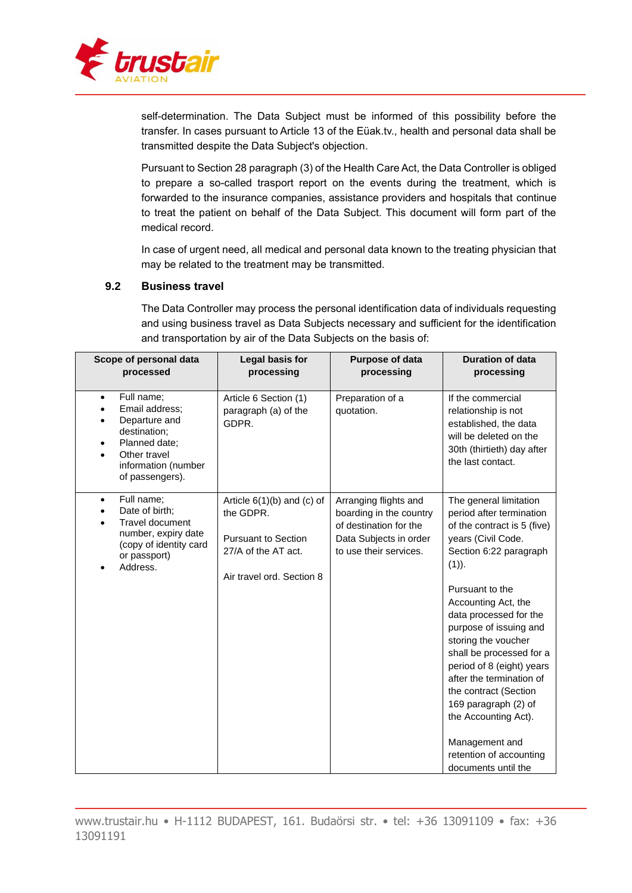

self-determination. The Data Subject must be informed of this possibility before the transfer. In cases pursuant to Article 13 of the Eüak.tv., health and personal data shall be transmitted despite the Data Subject's objection.

Pursuant to Section 28 paragraph (3) of the Health Care Act, the Data Controller is obliged to prepare a so-called trasport report on the events during the treatment, which is forwarded to the insurance companies, assistance providers and hospitals that continue to treat the patient on behalf of the Data Subject. This document will form part of the medical record.

In case of urgent need, all medical and personal data known to the treating physician that may be related to the treatment may be transmitted.

#### **9.2 Business travel**

The Data Controller may process the personal identification data of individuals requesting and using business travel as Data Subjects necessary and sufficient for the identification and transportation by air of the Data Subjects on the basis of:

| Scope of personal data<br>processed                                                                                                                   | Legal basis for<br>processing                                                                                               | <b>Purpose of data</b><br>processing                                                                                           | <b>Duration of data</b><br>processing                                                                                                                                                                                                                                                                                                                                                                                                                                                                |
|-------------------------------------------------------------------------------------------------------------------------------------------------------|-----------------------------------------------------------------------------------------------------------------------------|--------------------------------------------------------------------------------------------------------------------------------|------------------------------------------------------------------------------------------------------------------------------------------------------------------------------------------------------------------------------------------------------------------------------------------------------------------------------------------------------------------------------------------------------------------------------------------------------------------------------------------------------|
| Full name;<br>$\bullet$<br>Email address;<br>Departure and<br>destination;<br>Planned date;<br>Other travel<br>information (number<br>of passengers). | Article 6 Section (1)<br>paragraph (a) of the<br>GDPR.                                                                      | Preparation of a<br>quotation.                                                                                                 | If the commercial<br>relationship is not<br>established, the data<br>will be deleted on the<br>30th (thirtieth) day after<br>the last contact.                                                                                                                                                                                                                                                                                                                                                       |
| Full name;<br>$\bullet$<br>Date of birth;<br><b>Travel document</b><br>number, expiry date<br>(copy of identity card<br>or passport)<br>Address.      | Article $6(1)(b)$ and (c) of<br>the GDPR.<br><b>Pursuant to Section</b><br>27/A of the AT act.<br>Air travel ord, Section 8 | Arranging flights and<br>boarding in the country<br>of destination for the<br>Data Subjects in order<br>to use their services. | The general limitation<br>period after termination<br>of the contract is 5 (five)<br>years (Civil Code.<br>Section 6:22 paragraph<br>$(1)$ ).<br>Pursuant to the<br>Accounting Act, the<br>data processed for the<br>purpose of issuing and<br>storing the voucher<br>shall be processed for a<br>period of 8 (eight) years<br>after the termination of<br>the contract (Section<br>169 paragraph (2) of<br>the Accounting Act).<br>Management and<br>retention of accounting<br>documents until the |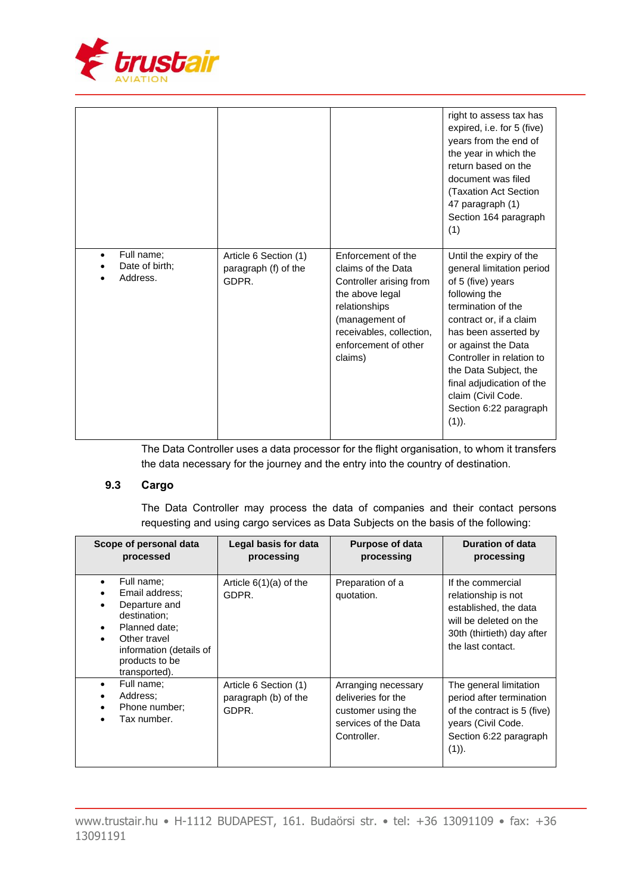

|                                          |                                                        |                                                                                                                                                                                          | right to assess tax has<br>expired, i.e. for 5 (five)<br>years from the end of<br>the year in which the<br>return based on the<br>document was filed<br>(Taxation Act Section<br>47 paragraph (1)<br>Section 164 paragraph<br>(1)                                                                                                         |
|------------------------------------------|--------------------------------------------------------|------------------------------------------------------------------------------------------------------------------------------------------------------------------------------------------|-------------------------------------------------------------------------------------------------------------------------------------------------------------------------------------------------------------------------------------------------------------------------------------------------------------------------------------------|
| Full name;<br>Date of birth:<br>Address. | Article 6 Section (1)<br>paragraph (f) of the<br>GDPR. | Enforcement of the<br>claims of the Data<br>Controller arising from<br>the above legal<br>relationships<br>(management of<br>receivables, collection,<br>enforcement of other<br>claims) | Until the expiry of the<br>general limitation period<br>of 5 (five) years<br>following the<br>termination of the<br>contract or, if a claim<br>has been asserted by<br>or against the Data<br>Controller in relation to<br>the Data Subject, the<br>final adjudication of the<br>claim (Civil Code.<br>Section 6:22 paragraph<br>$(1)$ ). |

The Data Controller uses a data processor for the flight organisation, to whom it transfers the data necessary for the journey and the entry into the country of destination.

## **9.3 Cargo**

The Data Controller may process the data of companies and their contact persons requesting and using cargo services as Data Subjects on the basis of the following:

| Scope of personal data<br>processed                                                                                                                                            | Legal basis for data<br>processing                     | <b>Purpose of data</b><br>processing                                                                   | Duration of data<br>processing                                                                                                                 |
|--------------------------------------------------------------------------------------------------------------------------------------------------------------------------------|--------------------------------------------------------|--------------------------------------------------------------------------------------------------------|------------------------------------------------------------------------------------------------------------------------------------------------|
| Full name:<br>٠<br>Email address:<br>Departure and<br>destination:<br>Planned date:<br>Other travel<br>$\bullet$<br>information (details of<br>products to be<br>transported). | Article $6(1)(a)$ of the<br>GDPR.                      | Preparation of a<br>quotation.                                                                         | If the commercial<br>relationship is not<br>established, the data<br>will be deleted on the<br>30th (thirtieth) day after<br>the last contact. |
| Full name;<br>٠<br>Address:<br>Phone number;<br>Tax number.                                                                                                                    | Article 6 Section (1)<br>paragraph (b) of the<br>GDPR. | Arranging necessary<br>deliveries for the<br>customer using the<br>services of the Data<br>Controller. | The general limitation<br>period after termination<br>of the contract is 5 (five)<br>years (Civil Code.<br>Section 6:22 paragraph<br>$(1)$ ).  |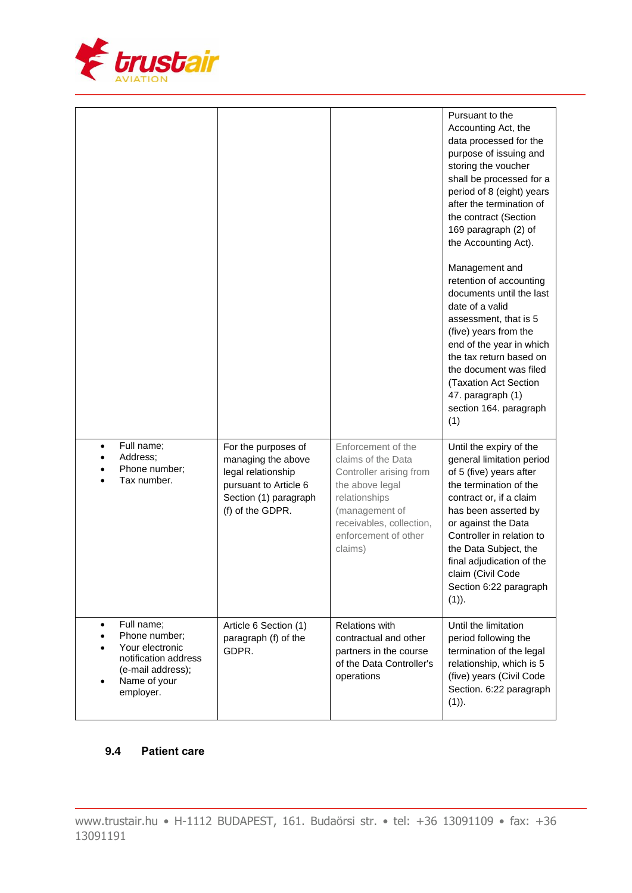

|                                                                                                                                       |                                                                                                                                       |                                                                                                                                                                                          | Pursuant to the<br>Accounting Act, the<br>data processed for the<br>purpose of issuing and<br>storing the voucher<br>shall be processed for a<br>period of 8 (eight) years<br>after the termination of<br>the contract (Section<br>169 paragraph (2) of<br>the Accounting Act).<br>Management and<br>retention of accounting<br>documents until the last<br>date of a valid<br>assessment, that is 5<br>(five) years from the<br>end of the year in which |
|---------------------------------------------------------------------------------------------------------------------------------------|---------------------------------------------------------------------------------------------------------------------------------------|------------------------------------------------------------------------------------------------------------------------------------------------------------------------------------------|-----------------------------------------------------------------------------------------------------------------------------------------------------------------------------------------------------------------------------------------------------------------------------------------------------------------------------------------------------------------------------------------------------------------------------------------------------------|
|                                                                                                                                       |                                                                                                                                       |                                                                                                                                                                                          | the tax return based on<br>the document was filed<br>(Taxation Act Section<br>47. paragraph (1)<br>section 164. paragraph<br>(1)                                                                                                                                                                                                                                                                                                                          |
| Full name;<br>Address;<br>Phone number;<br>Tax number.                                                                                | For the purposes of<br>managing the above<br>legal relationship<br>pursuant to Article 6<br>Section (1) paragraph<br>(f) of the GDPR. | Enforcement of the<br>claims of the Data<br>Controller arising from<br>the above legal<br>relationships<br>(management of<br>receivables, collection,<br>enforcement of other<br>claims) | Until the expiry of the<br>general limitation period<br>of 5 (five) years after<br>the termination of the<br>contract or, if a claim<br>has been asserted by<br>or against the Data<br>Controller in relation to<br>the Data Subject, the<br>final adjudication of the<br>claim (Civil Code<br>Section 6:22 paragraph<br>$(1)$ ).                                                                                                                         |
| Full name;<br>$\bullet$<br>Phone number;<br>Your electronic<br>notification address<br>(e-mail address);<br>Name of your<br>employer. | Article 6 Section (1)<br>paragraph (f) of the<br>GDPR.                                                                                | <b>Relations with</b><br>contractual and other<br>partners in the course<br>of the Data Controller's<br>operations                                                                       | Until the limitation<br>period following the<br>termination of the legal<br>relationship, which is 5<br>(five) years (Civil Code<br>Section. 6:22 paragraph<br>$(1)$ ).                                                                                                                                                                                                                                                                                   |

# **9.4 Patient care**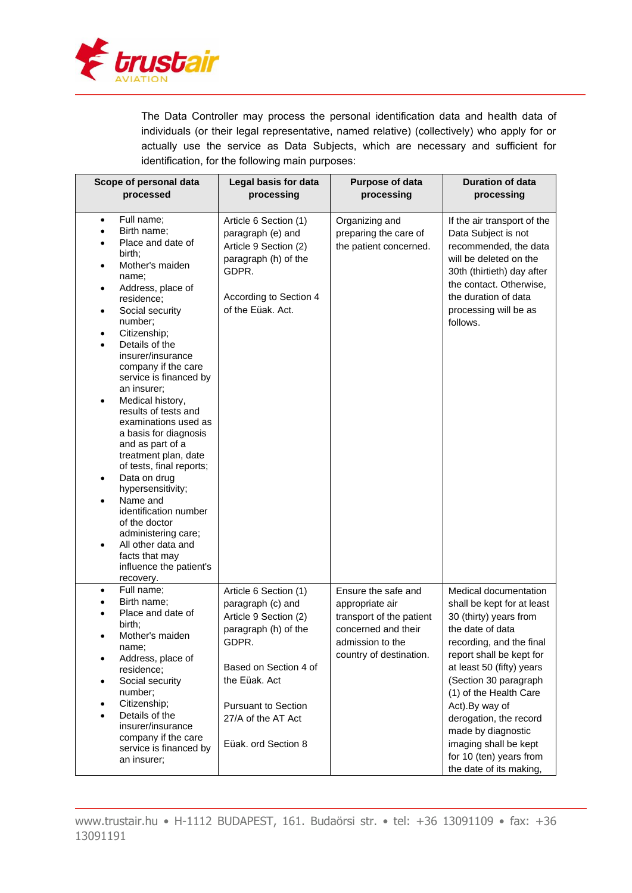

The Data Controller may process the personal identification data and health data of individuals (or their legal representative, named relative) (collectively) who apply for or actually use the service as Data Subjects, which are necessary and sufficient for identification, for the following main purposes:

| Scope of personal data                                                                                                                                                                                                                                                                                                                                                                                                                                                                                                                                                                                                                                              | Legal basis for data                                                                                                                                              | <b>Purpose of data</b>                                                          | <b>Duration of data</b>                                                                                                                                                                                                                   |
|---------------------------------------------------------------------------------------------------------------------------------------------------------------------------------------------------------------------------------------------------------------------------------------------------------------------------------------------------------------------------------------------------------------------------------------------------------------------------------------------------------------------------------------------------------------------------------------------------------------------------------------------------------------------|-------------------------------------------------------------------------------------------------------------------------------------------------------------------|---------------------------------------------------------------------------------|-------------------------------------------------------------------------------------------------------------------------------------------------------------------------------------------------------------------------------------------|
| processed                                                                                                                                                                                                                                                                                                                                                                                                                                                                                                                                                                                                                                                           |                                                                                                                                                                   |                                                                                 |                                                                                                                                                                                                                                           |
| Full name;<br>$\bullet$<br>Birth name;<br>$\bullet$<br>Place and date of<br>٠<br>birth:<br>Mother's maiden<br>$\bullet$<br>name;<br>Address, place of<br>residence;<br>Social security<br>$\bullet$<br>number:<br>Citizenship;<br>Details of the<br>insurer/insurance<br>company if the care<br>service is financed by<br>an insurer;<br>Medical history,<br>$\bullet$<br>results of tests and<br>examinations used as<br>a basis for diagnosis<br>and as part of a<br>treatment plan, date<br>of tests, final reports;<br>Data on drug<br>$\bullet$<br>hypersensitivity;<br>Name and<br>$\bullet$<br>identification number<br>of the doctor<br>administering care; | processing<br>Article 6 Section (1)<br>paragraph (e) and<br>Article 9 Section (2)<br>paragraph (h) of the<br>GDPR.<br>According to Section 4<br>of the Eüak. Act. | processing<br>Organizing and<br>preparing the care of<br>the patient concerned. | processing<br>If the air transport of the<br>Data Subject is not<br>recommended, the data<br>will be deleted on the<br>30th (thirtieth) day after<br>the contact. Otherwise,<br>the duration of data<br>processing will be as<br>follows. |
| All other data and<br>$\bullet$<br>facts that may<br>influence the patient's<br>recovery.                                                                                                                                                                                                                                                                                                                                                                                                                                                                                                                                                                           |                                                                                                                                                                   |                                                                                 |                                                                                                                                                                                                                                           |
| Full name;<br>$\bullet$                                                                                                                                                                                                                                                                                                                                                                                                                                                                                                                                                                                                                                             | Article 6 Section (1)                                                                                                                                             | Ensure the safe and                                                             | Medical documentation                                                                                                                                                                                                                     |
| Birth name:<br>Place and date of                                                                                                                                                                                                                                                                                                                                                                                                                                                                                                                                                                                                                                    | paragraph (c) and                                                                                                                                                 | appropriate air                                                                 | shall be kept for at least                                                                                                                                                                                                                |
| birth;                                                                                                                                                                                                                                                                                                                                                                                                                                                                                                                                                                                                                                                              | Article 9 Section (2)<br>paragraph (h) of the                                                                                                                     | transport of the patient<br>concerned and their                                 | 30 (thirty) years from<br>the date of data                                                                                                                                                                                                |
| Mother's maiden<br>name;                                                                                                                                                                                                                                                                                                                                                                                                                                                                                                                                                                                                                                            | GDPR.                                                                                                                                                             | admission to the                                                                | recording, and the final                                                                                                                                                                                                                  |
| Address, place of                                                                                                                                                                                                                                                                                                                                                                                                                                                                                                                                                                                                                                                   |                                                                                                                                                                   | country of destination.                                                         | report shall be kept for                                                                                                                                                                                                                  |
| residence;<br>Social security                                                                                                                                                                                                                                                                                                                                                                                                                                                                                                                                                                                                                                       | Based on Section 4 of<br>the Eüak, Act                                                                                                                            |                                                                                 | at least 50 (fifty) years<br>(Section 30 paragraph                                                                                                                                                                                        |
| number;                                                                                                                                                                                                                                                                                                                                                                                                                                                                                                                                                                                                                                                             |                                                                                                                                                                   |                                                                                 | (1) of the Health Care                                                                                                                                                                                                                    |
| Citizenship;                                                                                                                                                                                                                                                                                                                                                                                                                                                                                                                                                                                                                                                        | <b>Pursuant to Section</b>                                                                                                                                        |                                                                                 | Act). By way of                                                                                                                                                                                                                           |
| Details of the<br>insurer/insurance                                                                                                                                                                                                                                                                                                                                                                                                                                                                                                                                                                                                                                 | 27/A of the AT Act                                                                                                                                                |                                                                                 | derogation, the record                                                                                                                                                                                                                    |
| company if the care<br>service is financed by<br>an insurer;                                                                                                                                                                                                                                                                                                                                                                                                                                                                                                                                                                                                        | Eüak. ord Section 8                                                                                                                                               |                                                                                 | made by diagnostic<br>imaging shall be kept<br>for 10 (ten) years from<br>the date of its making,                                                                                                                                         |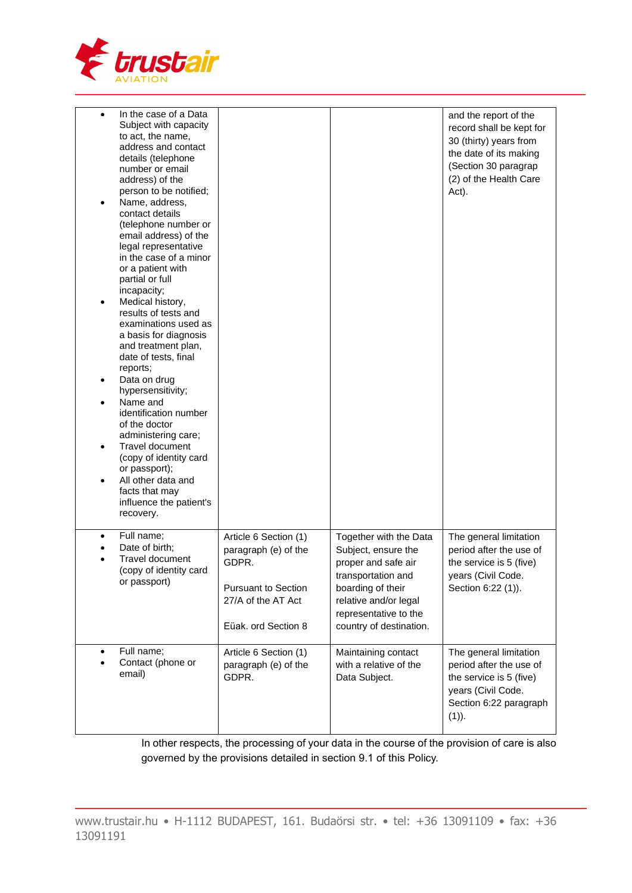

| In the case of a Data<br>Subject with capacity<br>to act, the name,<br>address and contact<br>details (telephone<br>number or email<br>address) of the<br>person to be notified;<br>Name, address,<br>٠<br>contact details<br>(telephone number or<br>email address) of the<br>legal representative<br>in the case of a minor<br>or a patient with<br>partial or full<br>incapacity;<br>Medical history,<br>٠<br>results of tests and<br>examinations used as<br>a basis for diagnosis<br>and treatment plan,<br>date of tests, final<br>reports;<br>Data on drug<br>hypersensitivity;<br>Name and<br>$\bullet$<br>identification number<br>of the doctor<br>administering care;<br>Travel document<br>٠<br>(copy of identity card<br>or passport);<br>All other data and<br>$\bullet$<br>facts that may<br>influence the patient's<br>recovery. |                                                                                                                                   |                                                                                                                                                                                              | and the report of the<br>record shall be kept for<br>30 (thirty) years from<br>the date of its making<br>(Section 30 paragrap<br>(2) of the Health Care<br>Act). |
|--------------------------------------------------------------------------------------------------------------------------------------------------------------------------------------------------------------------------------------------------------------------------------------------------------------------------------------------------------------------------------------------------------------------------------------------------------------------------------------------------------------------------------------------------------------------------------------------------------------------------------------------------------------------------------------------------------------------------------------------------------------------------------------------------------------------------------------------------|-----------------------------------------------------------------------------------------------------------------------------------|----------------------------------------------------------------------------------------------------------------------------------------------------------------------------------------------|------------------------------------------------------------------------------------------------------------------------------------------------------------------|
| Full name;<br>$\bullet$<br>Date of birth;<br>Travel document<br>(copy of identity card<br>or passport)                                                                                                                                                                                                                                                                                                                                                                                                                                                                                                                                                                                                                                                                                                                                           | Article 6 Section (1)<br>paragraph (e) of the<br>GDPR.<br><b>Pursuant to Section</b><br>27/A of the AT Act<br>Eüak. ord Section 8 | Together with the Data<br>Subject, ensure the<br>proper and safe air<br>transportation and<br>boarding of their<br>relative and/or legal<br>representative to the<br>country of destination. | The general limitation<br>period after the use of<br>the service is 5 (five)<br>years (Civil Code.<br>Section 6:22 (1)).                                         |
| Full name;<br>٠<br>Contact (phone or<br>email)                                                                                                                                                                                                                                                                                                                                                                                                                                                                                                                                                                                                                                                                                                                                                                                                   | Article 6 Section (1)<br>paragraph (e) of the<br>GDPR.                                                                            | Maintaining contact<br>with a relative of the<br>Data Subject.                                                                                                                               | The general limitation<br>period after the use of<br>the service is 5 (five)<br>years (Civil Code.<br>Section 6:22 paragraph<br>$(1)$ ).                         |

In other respects, the processing of your data in the course of the provision of care is also governed by the provisions detailed in section 9.1 of this Policy.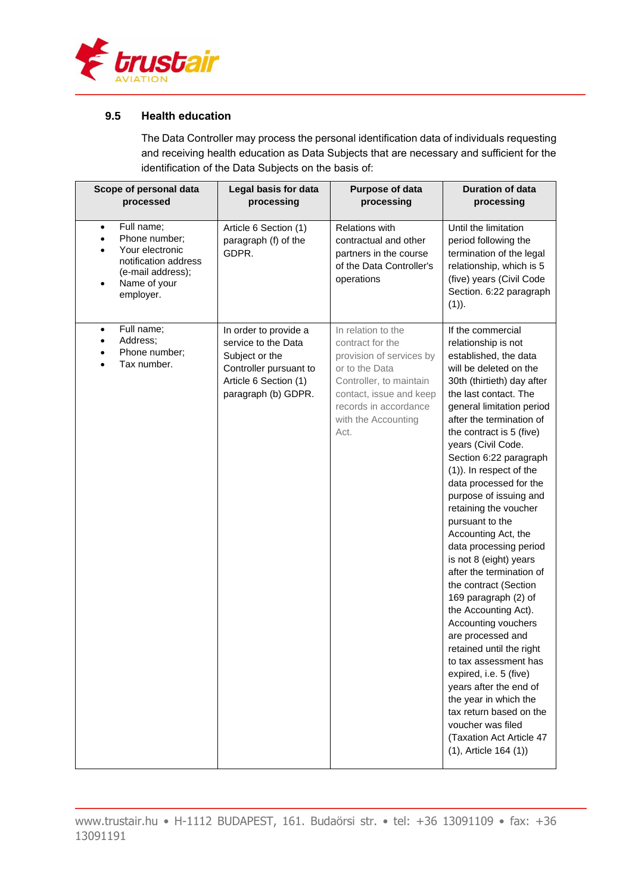

#### **9.5 Health education**

The Data Controller may process the personal identification data of individuals requesting and receiving health education as Data Subjects that are necessary and sufficient for the identification of the Data Subjects on the basis of:

| Scope of personal data<br>processed                                                                                                                | Legal basis for data<br>processing                                                                                                       | Purpose of data<br>processing                                                                                                                                                                      | <b>Duration of data</b><br>processing                                                                                                                                                                                                                                                                                                                                                                                                                                                                                                                                                                                                                                                                                                                                                                                                                                                     |
|----------------------------------------------------------------------------------------------------------------------------------------------------|------------------------------------------------------------------------------------------------------------------------------------------|----------------------------------------------------------------------------------------------------------------------------------------------------------------------------------------------------|-------------------------------------------------------------------------------------------------------------------------------------------------------------------------------------------------------------------------------------------------------------------------------------------------------------------------------------------------------------------------------------------------------------------------------------------------------------------------------------------------------------------------------------------------------------------------------------------------------------------------------------------------------------------------------------------------------------------------------------------------------------------------------------------------------------------------------------------------------------------------------------------|
| Full name;<br>$\bullet$<br>Phone number;<br>$\bullet$<br>Your electronic<br>notification address<br>(e-mail address);<br>Name of your<br>employer. | Article 6 Section (1)<br>paragraph (f) of the<br>GDPR.                                                                                   | <b>Relations with</b><br>contractual and other<br>partners in the course<br>of the Data Controller's<br>operations                                                                                 | Until the limitation<br>period following the<br>termination of the legal<br>relationship, which is 5<br>(five) years (Civil Code<br>Section. 6:22 paragraph<br>$(1)$ ).                                                                                                                                                                                                                                                                                                                                                                                                                                                                                                                                                                                                                                                                                                                   |
| Full name;<br>٠<br>Address;<br>Phone number;<br>Tax number.                                                                                        | In order to provide a<br>service to the Data<br>Subject or the<br>Controller pursuant to<br>Article 6 Section (1)<br>paragraph (b) GDPR. | In relation to the<br>contract for the<br>provision of services by<br>or to the Data<br>Controller, to maintain<br>contact, issue and keep<br>records in accordance<br>with the Accounting<br>Act. | If the commercial<br>relationship is not<br>established, the data<br>will be deleted on the<br>30th (thirtieth) day after<br>the last contact. The<br>general limitation period<br>after the termination of<br>the contract is 5 (five)<br>years (Civil Code.<br>Section 6:22 paragraph<br>(1)). In respect of the<br>data processed for the<br>purpose of issuing and<br>retaining the voucher<br>pursuant to the<br>Accounting Act, the<br>data processing period<br>is not 8 (eight) years<br>after the termination of<br>the contract (Section<br>169 paragraph (2) of<br>the Accounting Act).<br>Accounting vouchers<br>are processed and<br>retained until the right<br>to tax assessment has<br>expired, i.e. 5 (five)<br>years after the end of<br>the year in which the<br>tax return based on the<br>voucher was filed<br>(Taxation Act Article 47<br>$(1)$ , Article 164 $(1)$ |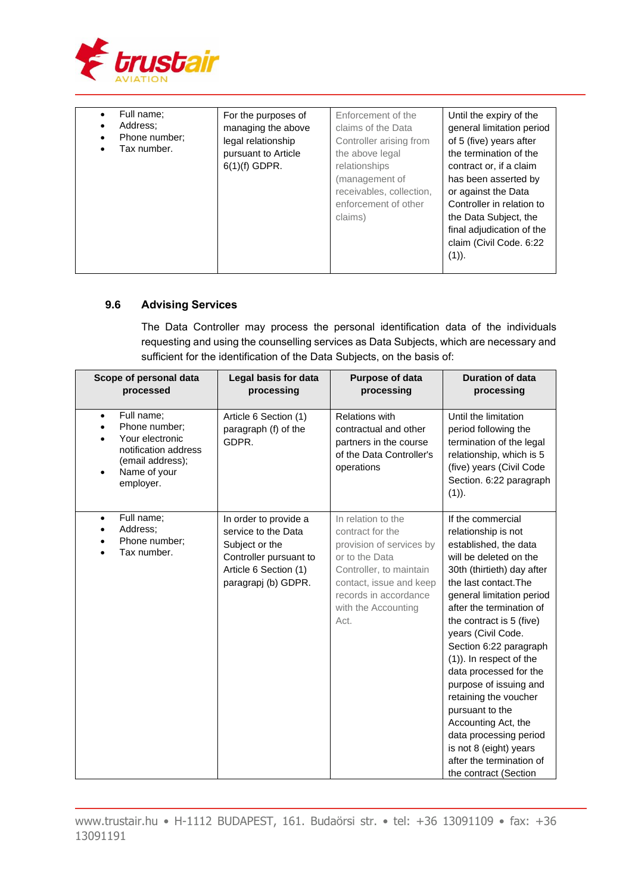

| Full name:<br>$\bullet$<br>Address:<br>٠<br>Phone number;<br>Tax number. | For the purposes of<br>managing the above<br>legal relationship<br>pursuant to Article<br>$6(1)(f)$ GDPR. | Enforcement of the<br>claims of the Data<br>Controller arising from<br>the above legal<br>relationships<br>(management of<br>receivables, collection,<br>enforcement of other<br>claims) | Until the expiry of the<br>general limitation period<br>of 5 (five) years after<br>the termination of the<br>contract or, if a claim<br>has been asserted by<br>or against the Data<br>Controller in relation to<br>the Data Subject, the |
|--------------------------------------------------------------------------|-----------------------------------------------------------------------------------------------------------|------------------------------------------------------------------------------------------------------------------------------------------------------------------------------------------|-------------------------------------------------------------------------------------------------------------------------------------------------------------------------------------------------------------------------------------------|
|                                                                          |                                                                                                           |                                                                                                                                                                                          | final adjudication of the<br>claim (Civil Code, 6:22<br>$(1)$ ).                                                                                                                                                                          |

## **9.6 Advising Services**

The Data Controller may process the personal identification data of the individuals requesting and using the counselling services as Data Subjects, which are necessary and sufficient for the identification of the Data Subjects, on the basis of:

| Scope of personal data<br>processed                                                                                                  | Legal basis for data<br>processing                                                                                                       | Purpose of data<br>processing                                                                                                                                                                      | <b>Duration of data</b><br>processing                                                                                                                                                                                                                                                                                                                                                                                                                                                                                                                 |
|--------------------------------------------------------------------------------------------------------------------------------------|------------------------------------------------------------------------------------------------------------------------------------------|----------------------------------------------------------------------------------------------------------------------------------------------------------------------------------------------------|-------------------------------------------------------------------------------------------------------------------------------------------------------------------------------------------------------------------------------------------------------------------------------------------------------------------------------------------------------------------------------------------------------------------------------------------------------------------------------------------------------------------------------------------------------|
| Full name:<br>$\bullet$<br>Phone number;<br>Your electronic<br>notification address<br>(email address);<br>Name of your<br>employer. | Article 6 Section (1)<br>paragraph (f) of the<br>GDPR.                                                                                   | <b>Relations with</b><br>contractual and other<br>partners in the course<br>of the Data Controller's<br>operations                                                                                 | Until the limitation<br>period following the<br>termination of the legal<br>relationship, which is 5<br>(five) years (Civil Code<br>Section. 6:22 paragraph<br>$(1)$ ).                                                                                                                                                                                                                                                                                                                                                                               |
| Full name;<br>$\bullet$<br>Address:<br>Phone number:<br>Tax number.                                                                  | In order to provide a<br>service to the Data<br>Subject or the<br>Controller pursuant to<br>Article 6 Section (1)<br>paragrapj (b) GDPR. | In relation to the<br>contract for the<br>provision of services by<br>or to the Data<br>Controller, to maintain<br>contact, issue and keep<br>records in accordance<br>with the Accounting<br>Act. | If the commercial<br>relationship is not<br>established, the data<br>will be deleted on the<br>30th (thirtieth) day after<br>the last contact. The<br>general limitation period<br>after the termination of<br>the contract is 5 (five)<br>years (Civil Code.<br>Section 6:22 paragraph<br>$(1)$ ). In respect of the<br>data processed for the<br>purpose of issuing and<br>retaining the voucher<br>pursuant to the<br>Accounting Act, the<br>data processing period<br>is not 8 (eight) years<br>after the termination of<br>the contract (Section |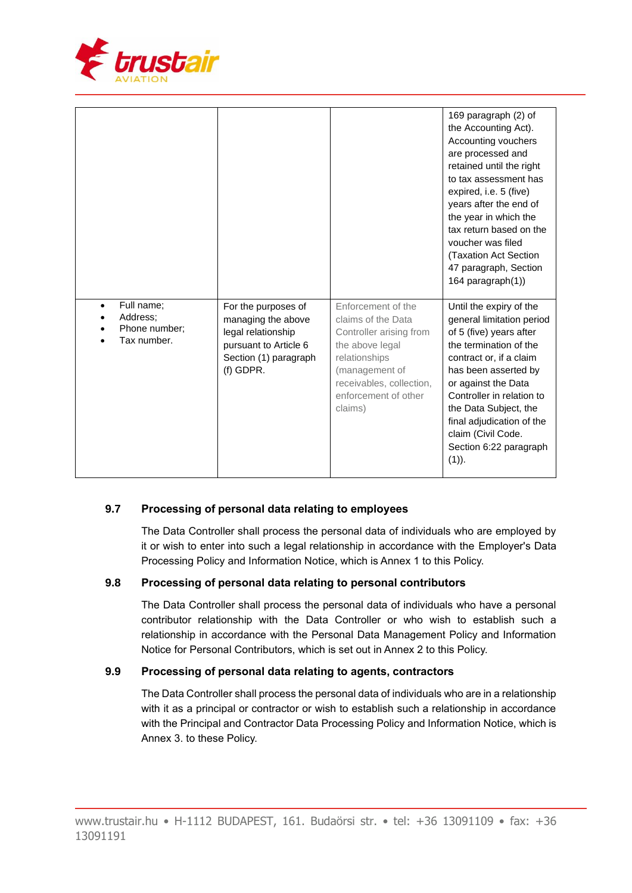

|                                                                     |                                                                                                                                |                                                                                                                                                                                          | 169 paragraph (2) of<br>the Accounting Act).<br>Accounting vouchers<br>are processed and<br>retained until the right<br>to tax assessment has<br>expired, i.e. 5 (five)<br>years after the end of<br>the year in which the<br>tax return based on the<br>voucher was filed<br>(Taxation Act Section<br>47 paragraph, Section<br>164 paragraph(1)) |
|---------------------------------------------------------------------|--------------------------------------------------------------------------------------------------------------------------------|------------------------------------------------------------------------------------------------------------------------------------------------------------------------------------------|---------------------------------------------------------------------------------------------------------------------------------------------------------------------------------------------------------------------------------------------------------------------------------------------------------------------------------------------------|
| Full name;<br>$\bullet$<br>Address;<br>Phone number:<br>Tax number. | For the purposes of<br>managing the above<br>legal relationship<br>pursuant to Article 6<br>Section (1) paragraph<br>(f) GDPR. | Enforcement of the<br>claims of the Data<br>Controller arising from<br>the above legal<br>relationships<br>(management of<br>receivables, collection,<br>enforcement of other<br>claims) | Until the expiry of the<br>general limitation period<br>of 5 (five) years after<br>the termination of the<br>contract or, if a claim<br>has been asserted by<br>or against the Data<br>Controller in relation to<br>the Data Subject, the<br>final adjudication of the<br>claim (Civil Code.<br>Section 6:22 paragraph<br>$(1)$ ).                |

## **9.7 Processing of personal data relating to employees**

The Data Controller shall process the personal data of individuals who are employed by it or wish to enter into such a legal relationship in accordance with the Employer's Data Processing Policy and Information Notice, which is Annex 1 to this Policy.

## **9.8 Processing of personal data relating to personal contributors**

The Data Controller shall process the personal data of individuals who have a personal contributor relationship with the Data Controller or who wish to establish such a relationship in accordance with the Personal Data Management Policy and Information Notice for Personal Contributors, which is set out in Annex 2 to this Policy.

#### **9.9 Processing of personal data relating to agents, contractors**

The Data Controller shall process the personal data of individuals who are in a relationship with it as a principal or contractor or wish to establish such a relationship in accordance with the Principal and Contractor Data Processing Policy and Information Notice, which is Annex 3. to these Policy.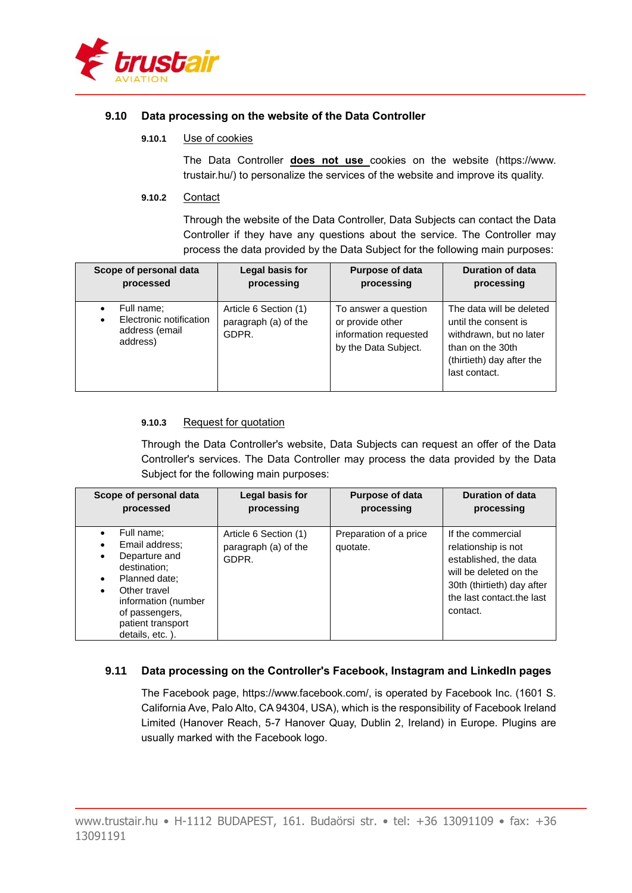

#### **9.10 Data processing on the website of the Data Controller**

#### **9.10.1** Use of cookies

The Data Controller **does not use** cookies on the website (https://www. trustair.hu/) to personalize the services of the website and improve its quality.

#### **9.10.2** Contact

Through the website of the Data Controller, Data Subjects can contact the Data Controller if they have any questions about the service. The Controller may process the data provided by the Data Subject for the following main purposes:

| Scope of personal data                                              | Legal basis for                                        | <b>Purpose of data</b>                                                                    | Duration of data                                                                                                                              |
|---------------------------------------------------------------------|--------------------------------------------------------|-------------------------------------------------------------------------------------------|-----------------------------------------------------------------------------------------------------------------------------------------------|
| processed                                                           | processing                                             | processing                                                                                | processing                                                                                                                                    |
| Full name:<br>Electronic notification<br>address (email<br>address) | Article 6 Section (1)<br>paragraph (a) of the<br>GDPR. | To answer a question<br>or provide other<br>information requested<br>by the Data Subject. | The data will be deleted<br>until the consent is<br>withdrawn, but no later<br>than on the 30th<br>(thirtieth) day after the<br>last contact. |

#### **9.10.3** Request for quotation

Through the Data Controller's website, Data Subjects can request an offer of the Data Controller's services. The Data Controller may process the data provided by the Data Subject for the following main purposes:

| Scope of personal data                                                                                                                                                          | Legal basis for                                        | <b>Purpose of data</b>             | Duration of data                                                                                                                                                   |
|---------------------------------------------------------------------------------------------------------------------------------------------------------------------------------|--------------------------------------------------------|------------------------------------|--------------------------------------------------------------------------------------------------------------------------------------------------------------------|
| processed                                                                                                                                                                       | processing                                             | processing                         | processing                                                                                                                                                         |
| Full name:<br>Email address;<br>Departure and<br>destination:<br>Planned date;<br>Other travel<br>information (number<br>of passengers,<br>patient transport<br>details, etc.). | Article 6 Section (1)<br>paragraph (a) of the<br>GDPR. | Preparation of a price<br>quotate. | If the commercial<br>relationship is not<br>established, the data<br>will be deleted on the<br>30th (thirtieth) day after<br>the last contact the last<br>contact. |

#### **9.11 Data processing on the Controller's Facebook, Instagram and LinkedIn pages**

The Facebook page, https://www.facebook.com/, is operated by Facebook Inc. (1601 S. California Ave, Palo Alto, CA 94304, USA), which is the responsibility of Facebook Ireland Limited (Hanover Reach, 5-7 Hanover Quay, Dublin 2, Ireland) in Europe. Plugins are usually marked with the Facebook logo.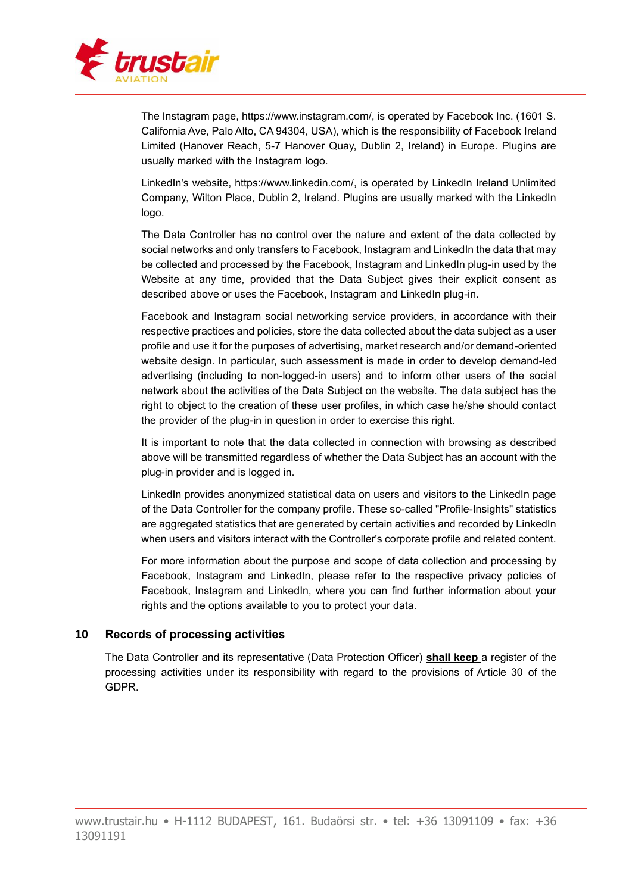

The Instagram page, https://www.instagram.com/, is operated by Facebook Inc. (1601 S. California Ave, Palo Alto, CA 94304, USA), which is the responsibility of Facebook Ireland Limited (Hanover Reach, 5-7 Hanover Quay, Dublin 2, Ireland) in Europe. Plugins are usually marked with the Instagram logo.

LinkedIn's website, https://www.linkedin.com/, is operated by LinkedIn Ireland Unlimited Company, Wilton Place, Dublin 2, Ireland. Plugins are usually marked with the LinkedIn logo.

The Data Controller has no control over the nature and extent of the data collected by social networks and only transfers to Facebook, Instagram and LinkedIn the data that may be collected and processed by the Facebook, Instagram and LinkedIn plug-in used by the Website at any time, provided that the Data Subject gives their explicit consent as described above or uses the Facebook, Instagram and LinkedIn plug-in.

Facebook and Instagram social networking service providers, in accordance with their respective practices and policies, store the data collected about the data subject as a user profile and use it for the purposes of advertising, market research and/or demand-oriented website design. In particular, such assessment is made in order to develop demand-led advertising (including to non-logged-in users) and to inform other users of the social network about the activities of the Data Subject on the website. The data subject has the right to object to the creation of these user profiles, in which case he/she should contact the provider of the plug-in in question in order to exercise this right.

It is important to note that the data collected in connection with browsing as described above will be transmitted regardless of whether the Data Subject has an account with the plug-in provider and is logged in.

LinkedIn provides anonymized statistical data on users and visitors to the LinkedIn page of the Data Controller for the company profile. These so-called "Profile-Insights" statistics are aggregated statistics that are generated by certain activities and recorded by LinkedIn when users and visitors interact with the Controller's corporate profile and related content.

For more information about the purpose and scope of data collection and processing by Facebook, Instagram and LinkedIn, please refer to the respective privacy policies of Facebook, Instagram and LinkedIn, where you can find further information about your rights and the options available to you to protect your data.

#### **10 Records of processing activities**

The Data Controller and its representative (Data Protection Officer) **shall keep** a register of the processing activities under its responsibility with regard to the provisions of Article 30 of the GDPR.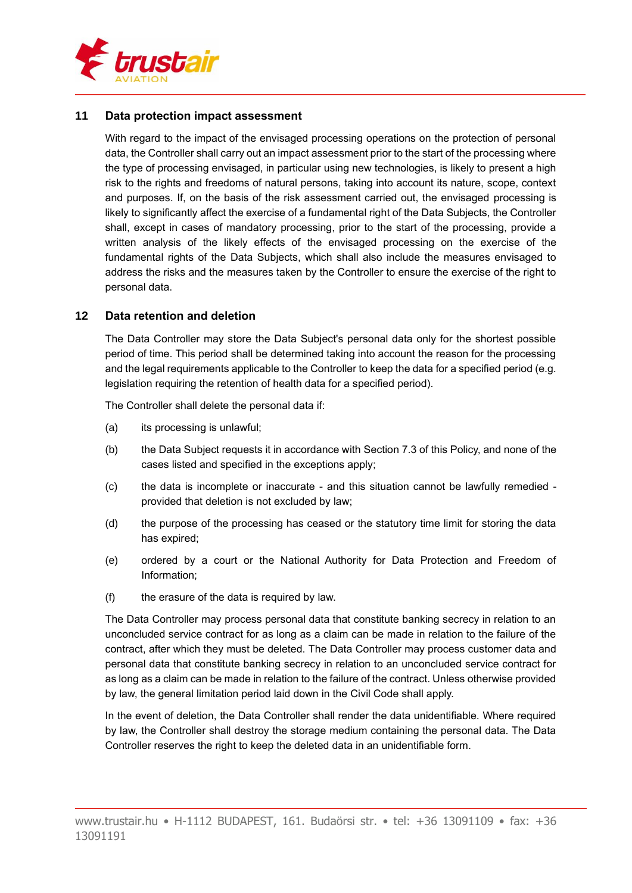

#### **11 Data protection impact assessment**

With regard to the impact of the envisaged processing operations on the protection of personal data, the Controller shall carry out an impact assessment prior to the start of the processing where the type of processing envisaged, in particular using new technologies, is likely to present a high risk to the rights and freedoms of natural persons, taking into account its nature, scope, context and purposes. If, on the basis of the risk assessment carried out, the envisaged processing is likely to significantly affect the exercise of a fundamental right of the Data Subjects, the Controller shall, except in cases of mandatory processing, prior to the start of the processing, provide a written analysis of the likely effects of the envisaged processing on the exercise of the fundamental rights of the Data Subjects, which shall also include the measures envisaged to address the risks and the measures taken by the Controller to ensure the exercise of the right to personal data.

#### **12 Data retention and deletion**

The Data Controller may store the Data Subject's personal data only for the shortest possible period of time. This period shall be determined taking into account the reason for the processing and the legal requirements applicable to the Controller to keep the data for a specified period (e.g. legislation requiring the retention of health data for a specified period).

The Controller shall delete the personal data if:

- (a) its processing is unlawful;
- (b) the Data Subject requests it in accordance with Section 7.3 of this Policy, and none of the cases listed and specified in the exceptions apply;
- (c) the data is incomplete or inaccurate and this situation cannot be lawfully remedied provided that deletion is not excluded by law;
- (d) the purpose of the processing has ceased or the statutory time limit for storing the data has expired;
- (e) ordered by a court or the National Authority for Data Protection and Freedom of Information;
- (f) the erasure of the data is required by law.

The Data Controller may process personal data that constitute banking secrecy in relation to an unconcluded service contract for as long as a claim can be made in relation to the failure of the contract, after which they must be deleted. The Data Controller may process customer data and personal data that constitute banking secrecy in relation to an unconcluded service contract for as long as a claim can be made in relation to the failure of the contract. Unless otherwise provided by law, the general limitation period laid down in the Civil Code shall apply.

In the event of deletion, the Data Controller shall render the data unidentifiable. Where required by law, the Controller shall destroy the storage medium containing the personal data. The Data Controller reserves the right to keep the deleted data in an unidentifiable form.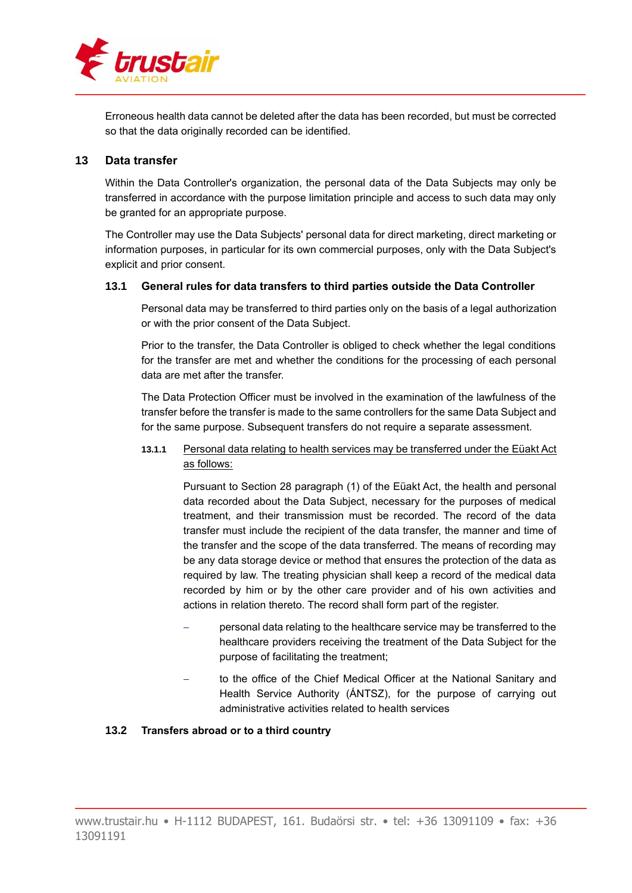

Erroneous health data cannot be deleted after the data has been recorded, but must be corrected so that the data originally recorded can be identified.

#### **13 Data transfer**

Within the Data Controller's organization, the personal data of the Data Subjects may only be transferred in accordance with the purpose limitation principle and access to such data may only be granted for an appropriate purpose.

The Controller may use the Data Subjects' personal data for direct marketing, direct marketing or information purposes, in particular for its own commercial purposes, only with the Data Subject's explicit and prior consent.

#### **13.1 General rules for data transfers to third parties outside the Data Controller**

Personal data may be transferred to third parties only on the basis of a legal authorization or with the prior consent of the Data Subject.

Prior to the transfer, the Data Controller is obliged to check whether the legal conditions for the transfer are met and whether the conditions for the processing of each personal data are met after the transfer.

The Data Protection Officer must be involved in the examination of the lawfulness of the transfer before the transfer is made to the same controllers for the same Data Subject and for the same purpose. Subsequent transfers do not require a separate assessment.

## **13.1.1** Personal data relating to health services may be transferred under the Eüakt Act as follows:

Pursuant to Section 28 paragraph (1) of the Eüakt Act, the health and personal data recorded about the Data Subject, necessary for the purposes of medical treatment, and their transmission must be recorded. The record of the data transfer must include the recipient of the data transfer, the manner and time of the transfer and the scope of the data transferred. The means of recording may be any data storage device or method that ensures the protection of the data as required by law. The treating physician shall keep a record of the medical data recorded by him or by the other care provider and of his own activities and actions in relation thereto. The record shall form part of the register.

- personal data relating to the healthcare service may be transferred to the healthcare providers receiving the treatment of the Data Subject for the purpose of facilitating the treatment;
- to the office of the Chief Medical Officer at the National Sanitary and Health Service Authority (ÁNTSZ), for the purpose of carrying out administrative activities related to health services

#### **13.2 Transfers abroad or to a third country**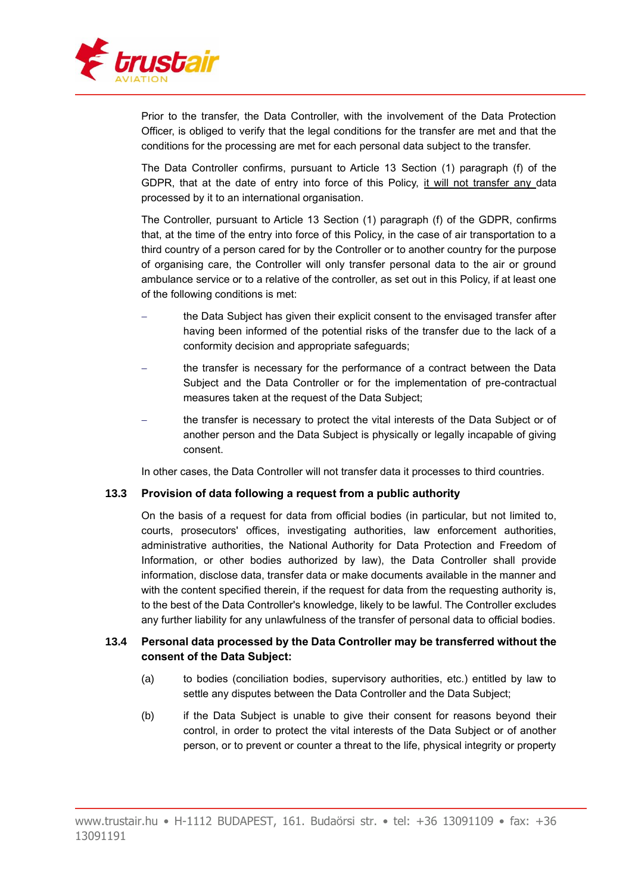

Prior to the transfer, the Data Controller, with the involvement of the Data Protection Officer, is obliged to verify that the legal conditions for the transfer are met and that the conditions for the processing are met for each personal data subject to the transfer.

The Data Controller confirms, pursuant to Article 13 Section (1) paragraph (f) of the GDPR, that at the date of entry into force of this Policy, it will not transfer any data processed by it to an international organisation.

The Controller, pursuant to Article 13 Section (1) paragraph (f) of the GDPR, confirms that, at the time of the entry into force of this Policy, in the case of air transportation to a third country of a person cared for by the Controller or to another country for the purpose of organising care, the Controller will only transfer personal data to the air or ground ambulance service or to a relative of the controller, as set out in this Policy, if at least one of the following conditions is met:

- the Data Subject has given their explicit consent to the envisaged transfer after having been informed of the potential risks of the transfer due to the lack of a conformity decision and appropriate safeguards;
- the transfer is necessary for the performance of a contract between the Data Subject and the Data Controller or for the implementation of pre-contractual measures taken at the request of the Data Subject;
- the transfer is necessary to protect the vital interests of the Data Subject or of another person and the Data Subject is physically or legally incapable of giving consent.

In other cases, the Data Controller will not transfer data it processes to third countries.

#### **13.3 Provision of data following a request from a public authority**

On the basis of a request for data from official bodies (in particular, but not limited to, courts, prosecutors' offices, investigating authorities, law enforcement authorities, administrative authorities, the National Authority for Data Protection and Freedom of Information, or other bodies authorized by law), the Data Controller shall provide information, disclose data, transfer data or make documents available in the manner and with the content specified therein, if the request for data from the requesting authority is, to the best of the Data Controller's knowledge, likely to be lawful. The Controller excludes any further liability for any unlawfulness of the transfer of personal data to official bodies.

## **13.4 Personal data processed by the Data Controller may be transferred without the consent of the Data Subject:**

- (a) to bodies (conciliation bodies, supervisory authorities, etc.) entitled by law to settle any disputes between the Data Controller and the Data Subject;
- (b) if the Data Subject is unable to give their consent for reasons beyond their control, in order to protect the vital interests of the Data Subject or of another person, or to prevent or counter a threat to the life, physical integrity or property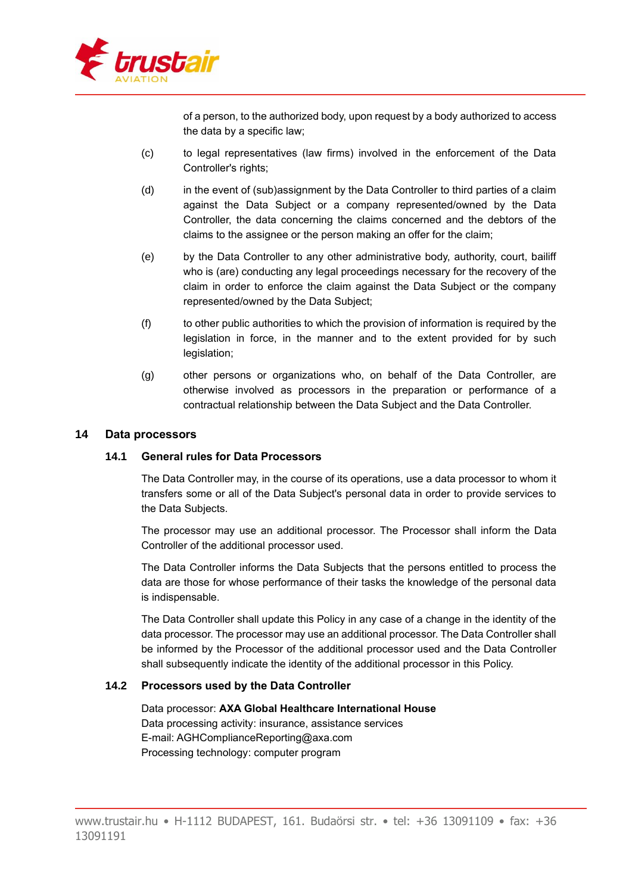

of a person, to the authorized body, upon request by a body authorized to access the data by a specific law;

- (c) to legal representatives (law firms) involved in the enforcement of the Data Controller's rights;
- (d) in the event of (sub)assignment by the Data Controller to third parties of a claim against the Data Subject or a company represented/owned by the Data Controller, the data concerning the claims concerned and the debtors of the claims to the assignee or the person making an offer for the claim;
- (e) by the Data Controller to any other administrative body, authority, court, bailiff who is (are) conducting any legal proceedings necessary for the recovery of the claim in order to enforce the claim against the Data Subject or the company represented/owned by the Data Subject;
- (f) to other public authorities to which the provision of information is required by the legislation in force, in the manner and to the extent provided for by such legislation;
- (g) other persons or organizations who, on behalf of the Data Controller, are otherwise involved as processors in the preparation or performance of a contractual relationship between the Data Subject and the Data Controller.

#### **14 Data processors**

## **14.1 General rules for Data Processors**

The Data Controller may, in the course of its operations, use a data processor to whom it transfers some or all of the Data Subject's personal data in order to provide services to the Data Subjects.

The processor may use an additional processor. The Processor shall inform the Data Controller of the additional processor used.

The Data Controller informs the Data Subjects that the persons entitled to process the data are those for whose performance of their tasks the knowledge of the personal data is indispensable.

The Data Controller shall update this Policy in any case of a change in the identity of the data processor. The processor may use an additional processor. The Data Controller shall be informed by the Processor of the additional processor used and the Data Controller shall subsequently indicate the identity of the additional processor in this Policy.

#### **14.2 Processors used by the Data Controller**

Data processor: **AXA Global Healthcare International House** Data processing activity: insurance, assistance services E-mail: AGHComplianceReporting@axa.com Processing technology: computer program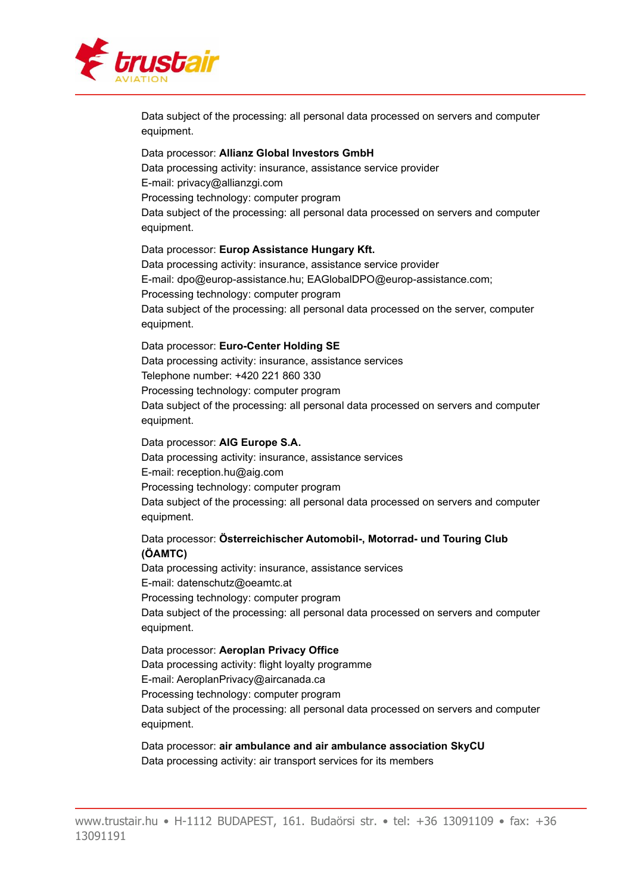

Data subject of the processing: all personal data processed on servers and computer equipment.

Data processor: **Allianz Global Investors GmbH** Data processing activity: insurance, assistance service provider E-mail: privacy@allianzgi.com Processing technology: computer program Data subject of the processing: all personal data processed on servers and computer equipment.

## Data processor: **Europ Assistance Hungary Kft.** Data processing activity: insurance, assistance service provider E-mail: dpo@europ-assistance.hu; EAGlobalDPO@europ-assistance.com; Processing technology: computer program Data subject of the processing: all personal data processed on the server, computer equipment.

#### Data processor: **Euro-Center Holding SE**

Data processing activity: insurance, assistance services Telephone number: +420 221 860 330 Processing technology: computer program Data subject of the processing: all personal data processed on servers and computer equipment.

#### Data processor: **AIG Europe S.A.**

Data processing activity: insurance, assistance services E-mail: reception.hu@aig.com Processing technology: computer program Data subject of the processing: all personal data processed on servers and computer equipment.

## Data processor: **Österreichischer Automobil-, Motorrad- und Touring Club (ÖAMTC)**

Data processing activity: insurance, assistance services E-mail: datenschutz@oeamtc.at Processing technology: computer program Data subject of the processing: all personal data processed on servers and computer equipment.

#### Data processor: **Aeroplan Privacy Office**

Data processing activity: flight loyalty programme E-mail: AeroplanPrivacy@aircanada.ca Processing technology: computer program Data subject of the processing: all personal data processed on servers and computer equipment.

Data processor: **air ambulance and air ambulance association SkyCU** Data processing activity: air transport services for its members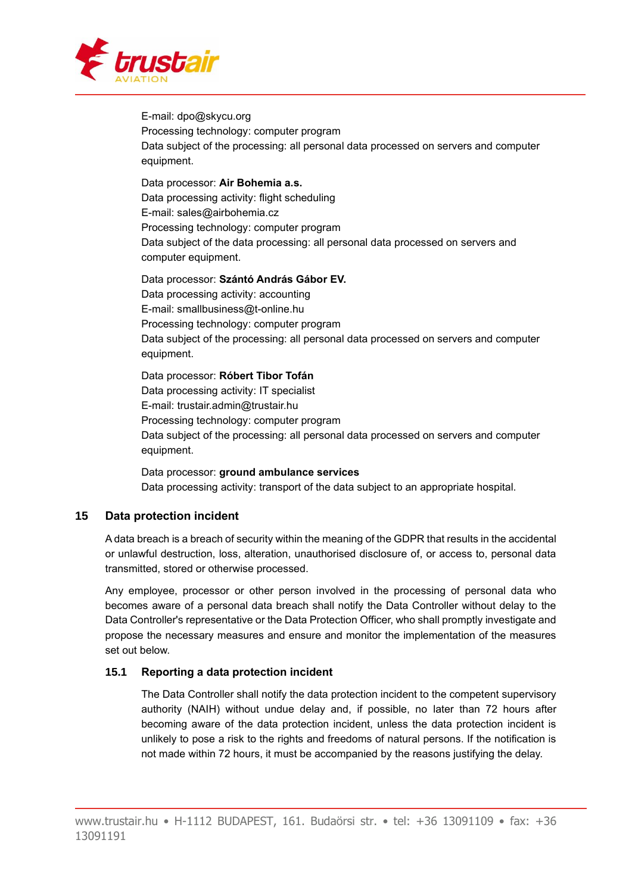

E-mail: dpo@skycu.org Processing technology: computer program Data subject of the processing: all personal data processed on servers and computer equipment.

Data processor: **Air Bohemia a.s.** Data processing activity: flight scheduling E-mail: sales@airbohemia.cz Processing technology: computer program Data subject of the data processing: all personal data processed on servers and computer equipment.

Data processor: **Szántó András Gábor EV.**

Data processing activity: accounting E-mail: smallbusiness@t-online.hu Processing technology: computer program Data subject of the processing: all personal data processed on servers and computer equipment.

Data processor: **Róbert Tibor Tofán** Data processing activity: IT specialist E-mail: trustair.admin@trustair.hu Processing technology: computer program Data subject of the processing: all personal data processed on servers and computer equipment.

Data processor: **ground ambulance services** Data processing activity: transport of the data subject to an appropriate hospital.

## **15 Data protection incident**

A data breach is a breach of security within the meaning of the GDPR that results in the accidental or unlawful destruction, loss, alteration, unauthorised disclosure of, or access to, personal data transmitted, stored or otherwise processed.

Any employee, processor or other person involved in the processing of personal data who becomes aware of a personal data breach shall notify the Data Controller without delay to the Data Controller's representative or the Data Protection Officer, who shall promptly investigate and propose the necessary measures and ensure and monitor the implementation of the measures set out below.

## **15.1 Reporting a data protection incident**

The Data Controller shall notify the data protection incident to the competent supervisory authority (NAIH) without undue delay and, if possible, no later than 72 hours after becoming aware of the data protection incident, unless the data protection incident is unlikely to pose a risk to the rights and freedoms of natural persons. If the notification is not made within 72 hours, it must be accompanied by the reasons justifying the delay.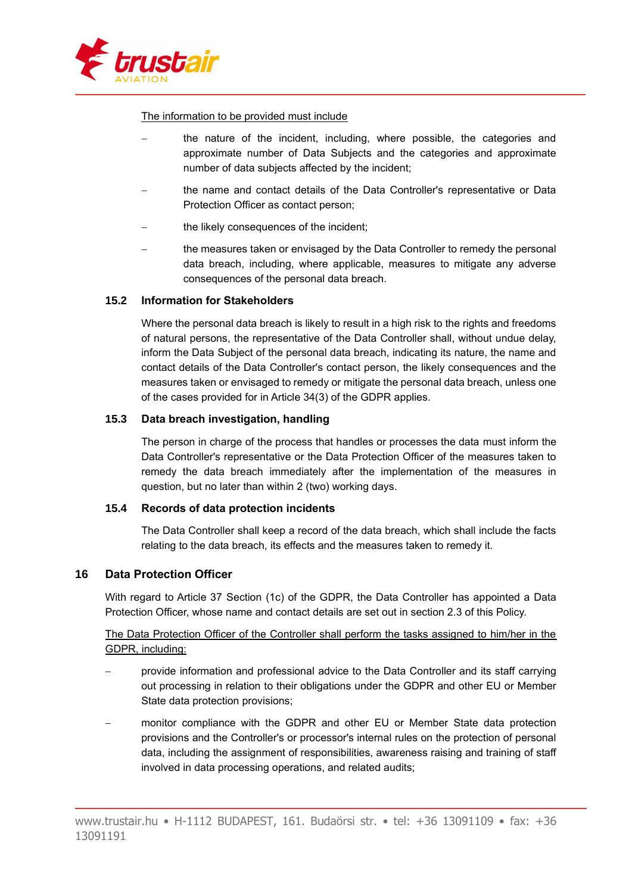

#### The information to be provided must include

- the nature of the incident, including, where possible, the categories and approximate number of Data Subjects and the categories and approximate number of data subjects affected by the incident;
- the name and contact details of the Data Controller's representative or Data Protection Officer as contact person;
- the likely consequences of the incident;
- the measures taken or envisaged by the Data Controller to remedy the personal data breach, including, where applicable, measures to mitigate any adverse consequences of the personal data breach.

#### **15.2 Information for Stakeholders**

Where the personal data breach is likely to result in a high risk to the rights and freedoms of natural persons, the representative of the Data Controller shall, without undue delay, inform the Data Subject of the personal data breach, indicating its nature, the name and contact details of the Data Controller's contact person, the likely consequences and the measures taken or envisaged to remedy or mitigate the personal data breach, unless one of the cases provided for in Article 34(3) of the GDPR applies.

#### **15.3 Data breach investigation, handling**

The person in charge of the process that handles or processes the data must inform the Data Controller's representative or the Data Protection Officer of the measures taken to remedy the data breach immediately after the implementation of the measures in question, but no later than within 2 (two) working days.

#### **15.4 Records of data protection incidents**

The Data Controller shall keep a record of the data breach, which shall include the facts relating to the data breach, its effects and the measures taken to remedy it.

## **16 Data Protection Officer**

With regard to Article 37 Section (1c) of the GDPR, the Data Controller has appointed a Data Protection Officer, whose name and contact details are set out in section 2.3 of this Policy.

The Data Protection Officer of the Controller shall perform the tasks assigned to him/her in the GDPR, including:

- provide information and professional advice to the Data Controller and its staff carrying out processing in relation to their obligations under the GDPR and other EU or Member State data protection provisions;
- monitor compliance with the GDPR and other EU or Member State data protection provisions and the Controller's or processor's internal rules on the protection of personal data, including the assignment of responsibilities, awareness raising and training of staff involved in data processing operations, and related audits;